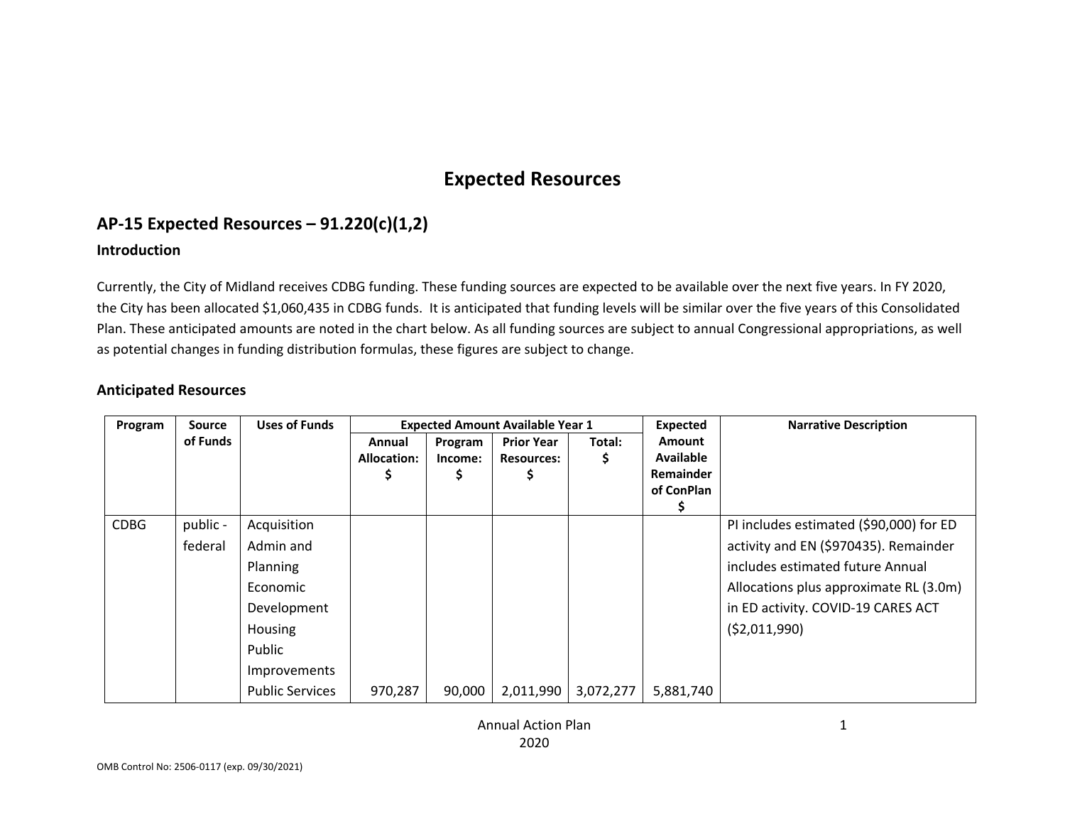# **Expected Resources**

## **AP‐15 Expected Resources – 91.220(c)(1,2)**

#### **Introduction**

Currently, the City of Midland receives CDBG funding. These funding sources are expected to be available over the next five years. In FY 2020, the City has been allocated \$1,060,435 in CDBG funds. It is anticipated that funding levels will be similar over the five years of this Consolidated Plan. These anticipated amounts are noted in the chart below. As all funding sources are subject to annual Congressional appropriations, as well as potential changes in funding distribution formulas, these figures are subject to change.

### **Anticipated Resources**

| Program     | <b>Source</b>       | <b>Uses of Funds</b>                                                                                                           |                              |                    | <b>Expected Amount Available Year 1</b> |           | <b>Expected</b>                                                     | <b>Narrative Description</b>                                                                                                                                                                                         |
|-------------|---------------------|--------------------------------------------------------------------------------------------------------------------------------|------------------------------|--------------------|-----------------------------------------|-----------|---------------------------------------------------------------------|----------------------------------------------------------------------------------------------------------------------------------------------------------------------------------------------------------------------|
|             | of Funds            |                                                                                                                                | Annual<br><b>Allocation:</b> | Program<br>Income: | <b>Prior Year</b><br><b>Resources:</b>  | Total:    | <b>Amount</b><br><b>Available</b><br><b>Remainder</b><br>of ConPlan |                                                                                                                                                                                                                      |
| <b>CDBG</b> | public -<br>federal | Acquisition<br>Admin and<br>Planning<br>Economic<br>Development<br>Housing<br>Public<br>Improvements<br><b>Public Services</b> | 970,287                      | 90,000             | 2,011,990                               | 3,072,277 | 5,881,740                                                           | PI includes estimated (\$90,000) for ED<br>activity and EN (\$970435). Remainder<br>includes estimated future Annual<br>Allocations plus approximate RL (3.0m)<br>in ED activity. COVID-19 CARES ACT<br>(52,011,990) |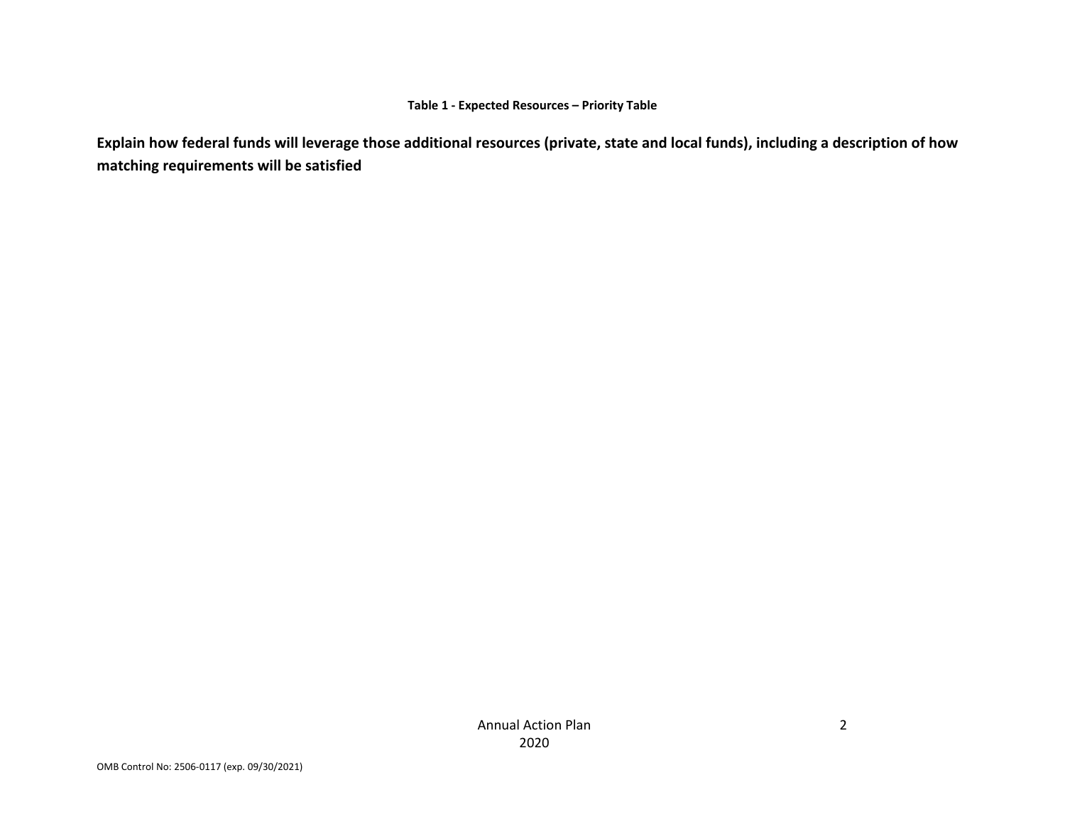#### **Table 1 ‐ Expected Resources – Priority Table**

**Explain how federal funds will leverage those additional resources (private, state and local funds), including a description of how matching requirements will be satisfied**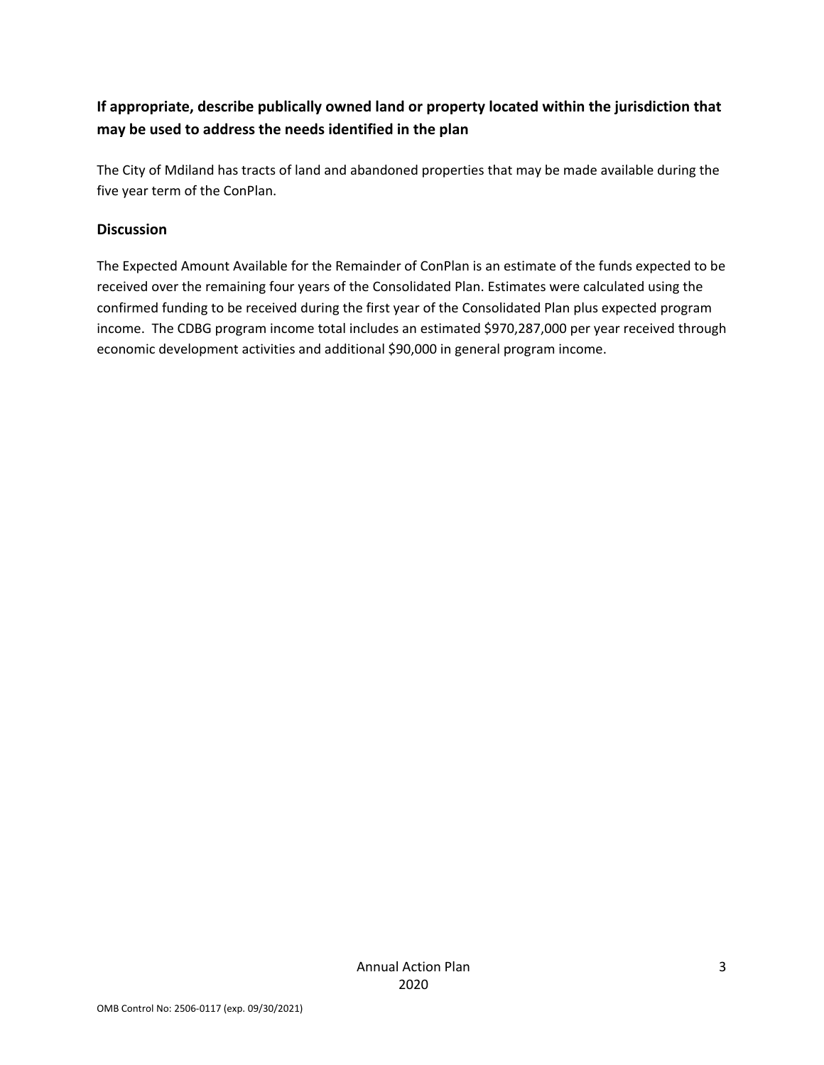### **If appropriate, describe publically owned land or property located within the jurisdiction that may be used to address the needs identified in the plan**

The City of Mdiland has tracts of land and abandoned properties that may be made available during the five year term of the ConPlan.

### **Discussion**

The Expected Amount Available for the Remainder of ConPlan is an estimate of the funds expected to be received over the remaining four years of the Consolidated Plan. Estimates were calculated using the confirmed funding to be received during the first year of the Consolidated Plan plus expected program income. The CDBG program income total includes an estimated \$970,287,000 per year received through economic development activities and additional \$90,000 in general program income.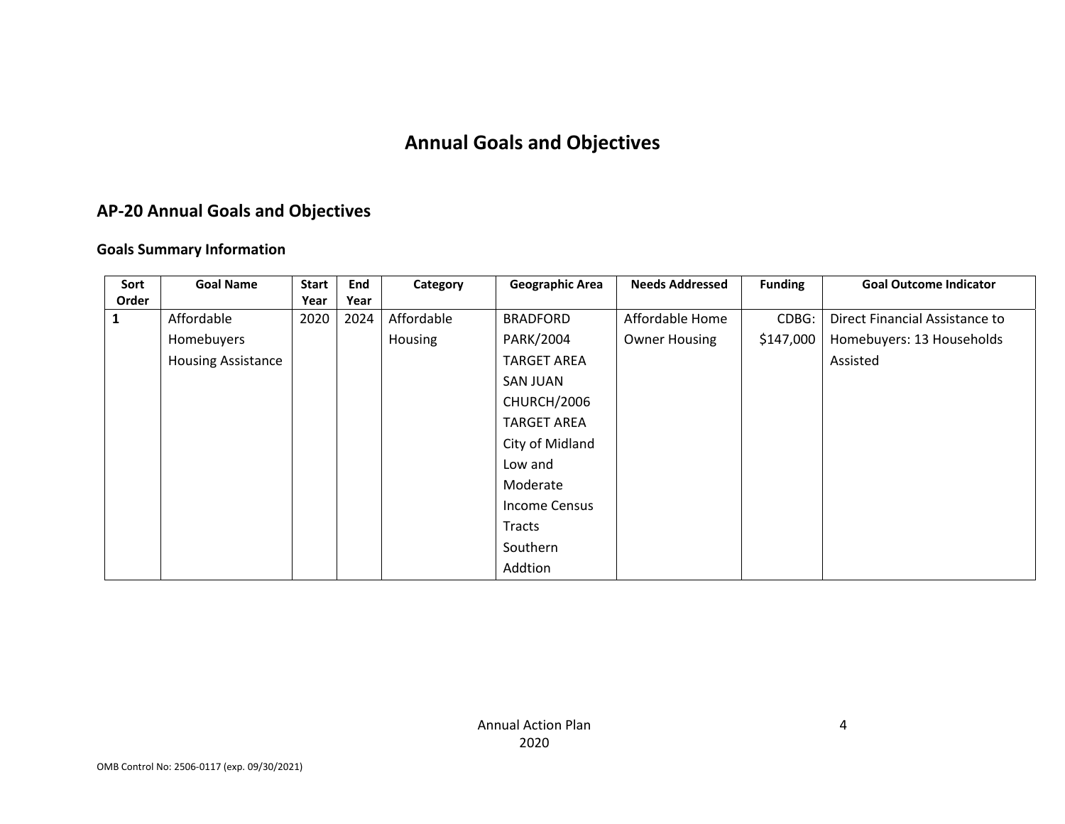# **Annual Goals and Objectives**

# **AP‐20 Annual Goals and Objectives**

### **Goals Summary Information**

| Sort  | <b>Goal Name</b>          | <b>Start</b> | End  | Category   | <b>Geographic Area</b> | <b>Needs Addressed</b> | <b>Funding</b> | <b>Goal Outcome Indicator</b>  |
|-------|---------------------------|--------------|------|------------|------------------------|------------------------|----------------|--------------------------------|
| Order |                           | Year         | Year |            |                        |                        |                |                                |
| 1     | Affordable                | 2020         | 2024 | Affordable | <b>BRADFORD</b>        | Affordable Home        | CDBG:          | Direct Financial Assistance to |
|       | Homebuyers                |              |      | Housing    | PARK/2004              | <b>Owner Housing</b>   | \$147,000      | Homebuyers: 13 Households      |
|       | <b>Housing Assistance</b> |              |      |            | <b>TARGET AREA</b>     |                        |                | Assisted                       |
|       |                           |              |      |            | <b>SAN JUAN</b>        |                        |                |                                |
|       |                           |              |      |            | CHURCH/2006            |                        |                |                                |
|       |                           |              |      |            | <b>TARGET AREA</b>     |                        |                |                                |
|       |                           |              |      |            | City of Midland        |                        |                |                                |
|       |                           |              |      |            | Low and                |                        |                |                                |
|       |                           |              |      |            | Moderate               |                        |                |                                |
|       |                           |              |      |            | <b>Income Census</b>   |                        |                |                                |
|       |                           |              |      |            | <b>Tracts</b>          |                        |                |                                |
|       |                           |              |      |            | Southern               |                        |                |                                |
|       |                           |              |      |            | Addtion                |                        |                |                                |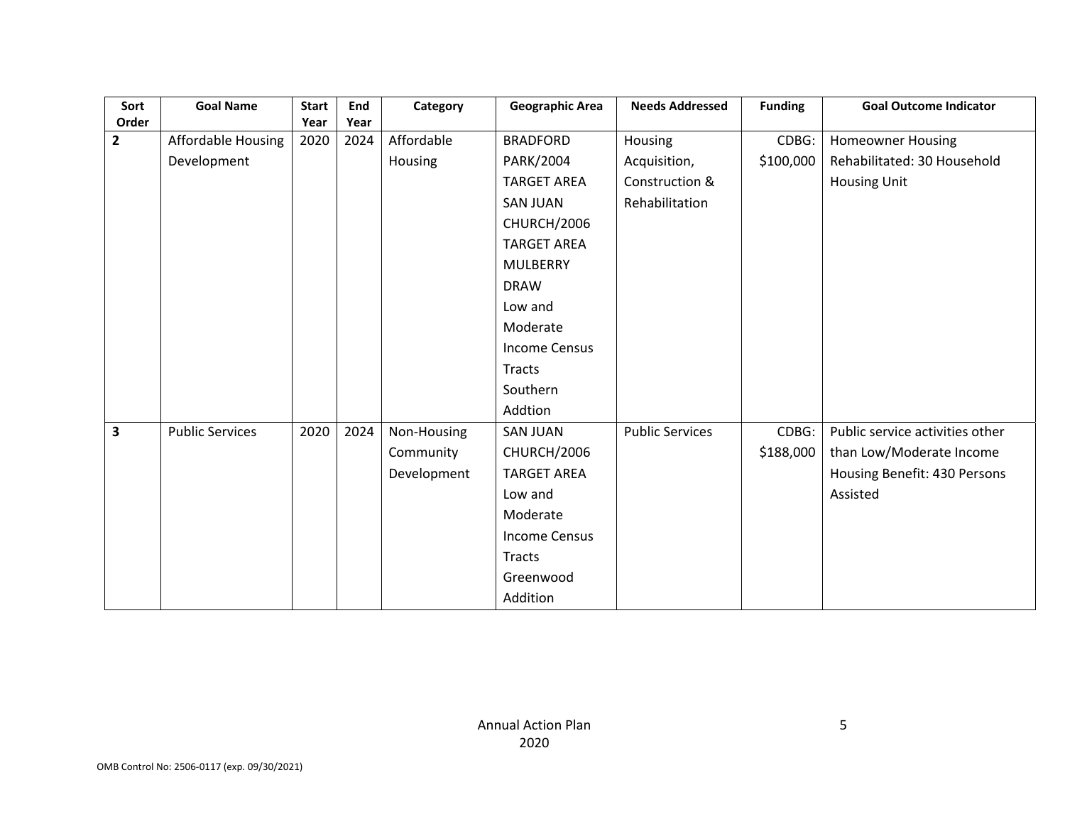| Sort           | <b>Goal Name</b>       | <b>Start</b> | End  | Category    | <b>Geographic Area</b> | <b>Needs Addressed</b> | <b>Funding</b> | <b>Goal Outcome Indicator</b>   |
|----------------|------------------------|--------------|------|-------------|------------------------|------------------------|----------------|---------------------------------|
| Order          |                        | Year         | Year |             |                        |                        |                |                                 |
| $\overline{2}$ | Affordable Housing     | 2020         | 2024 | Affordable  | <b>BRADFORD</b>        | Housing                | CDBG:          | <b>Homeowner Housing</b>        |
|                | Development            |              |      | Housing     | PARK/2004              | Acquisition,           | \$100,000      | Rehabilitated: 30 Household     |
|                |                        |              |      |             | <b>TARGET AREA</b>     | Construction &         |                | Housing Unit                    |
|                |                        |              |      |             | <b>SAN JUAN</b>        | Rehabilitation         |                |                                 |
|                |                        |              |      |             | CHURCH/2006            |                        |                |                                 |
|                |                        |              |      |             | <b>TARGET AREA</b>     |                        |                |                                 |
|                |                        |              |      |             | <b>MULBERRY</b>        |                        |                |                                 |
|                |                        |              |      |             | <b>DRAW</b>            |                        |                |                                 |
|                |                        |              |      |             | Low and                |                        |                |                                 |
|                |                        |              |      |             | Moderate               |                        |                |                                 |
|                |                        |              |      |             | <b>Income Census</b>   |                        |                |                                 |
|                |                        |              |      |             | <b>Tracts</b>          |                        |                |                                 |
|                |                        |              |      |             | Southern               |                        |                |                                 |
|                |                        |              |      |             | Addtion                |                        |                |                                 |
| 3              | <b>Public Services</b> | 2020         | 2024 | Non-Housing | <b>SAN JUAN</b>        | <b>Public Services</b> | CDBG:          | Public service activities other |
|                |                        |              |      | Community   | CHURCH/2006            |                        | \$188,000      | than Low/Moderate Income        |
|                |                        |              |      | Development | <b>TARGET AREA</b>     |                        |                | Housing Benefit: 430 Persons    |
|                |                        |              |      |             | Low and                |                        |                | Assisted                        |
|                |                        |              |      |             | Moderate               |                        |                |                                 |
|                |                        |              |      |             | <b>Income Census</b>   |                        |                |                                 |
|                |                        |              |      |             | <b>Tracts</b>          |                        |                |                                 |
|                |                        |              |      |             | Greenwood              |                        |                |                                 |
|                |                        |              |      |             | Addition               |                        |                |                                 |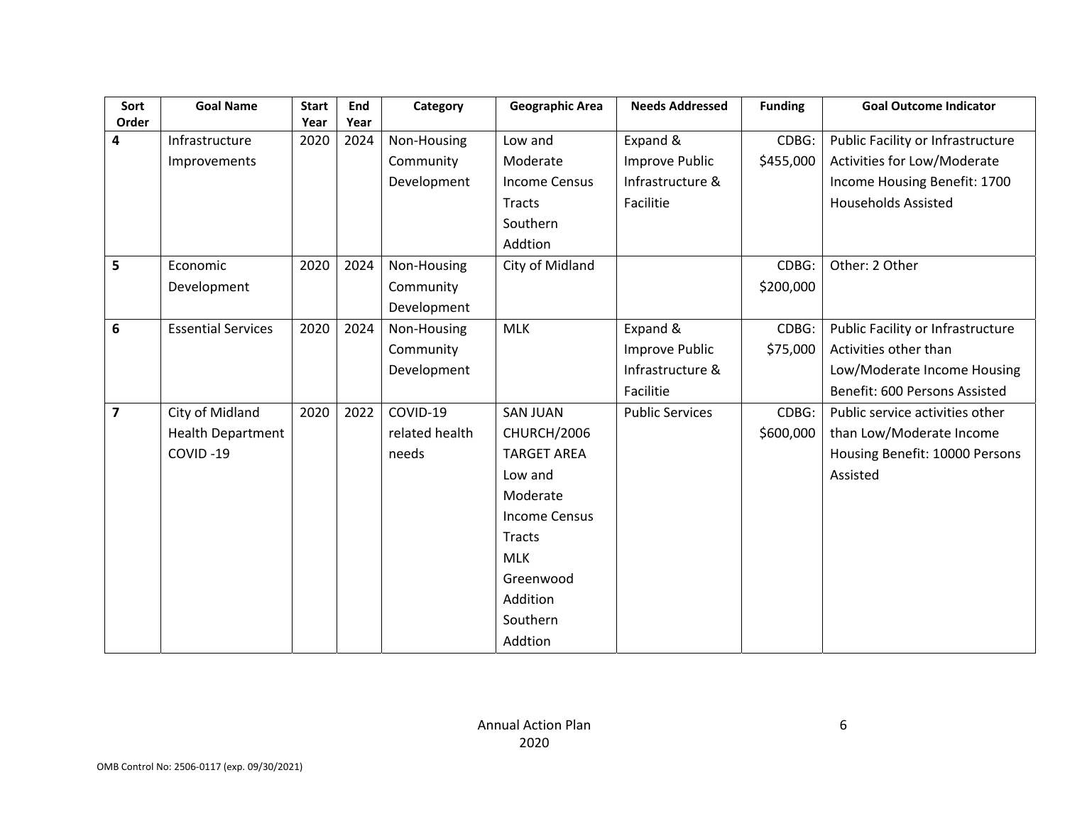| Sort<br>Order  | <b>Goal Name</b>          | <b>Start</b><br>Year | End<br>Year | Category       | <b>Geographic Area</b> | <b>Needs Addressed</b> | <b>Funding</b> | <b>Goal Outcome Indicator</b>     |
|----------------|---------------------------|----------------------|-------------|----------------|------------------------|------------------------|----------------|-----------------------------------|
| 4              | Infrastructure            | 2020                 | 2024        | Non-Housing    | Low and                | Expand &               | CDBG:          | Public Facility or Infrastructure |
|                | Improvements              |                      |             | Community      | Moderate               | Improve Public         | \$455,000      | Activities for Low/Moderate       |
|                |                           |                      |             | Development    | <b>Income Census</b>   | Infrastructure &       |                | Income Housing Benefit: 1700      |
|                |                           |                      |             |                | Tracts                 | Facilitie              |                | <b>Households Assisted</b>        |
|                |                           |                      |             |                |                        |                        |                |                                   |
|                |                           |                      |             |                | Southern               |                        |                |                                   |
|                |                           |                      |             |                | Addtion                |                        |                |                                   |
| 5              | Economic                  | 2020                 | 2024        | Non-Housing    | City of Midland        |                        | CDBG:          | Other: 2 Other                    |
|                | Development               |                      |             | Community      |                        |                        | \$200,000      |                                   |
|                |                           |                      |             | Development    |                        |                        |                |                                   |
| 6              | <b>Essential Services</b> | 2020                 | 2024        | Non-Housing    | <b>MLK</b>             | Expand &               | CDBG:          | Public Facility or Infrastructure |
|                |                           |                      |             | Community      |                        | <b>Improve Public</b>  | \$75,000       | Activities other than             |
|                |                           |                      |             | Development    |                        | Infrastructure &       |                | Low/Moderate Income Housing       |
|                |                           |                      |             |                |                        | Facilitie              |                | Benefit: 600 Persons Assisted     |
| $\overline{7}$ | City of Midland           | 2020                 | 2022        | COVID-19       | <b>SAN JUAN</b>        | <b>Public Services</b> | CDBG:          | Public service activities other   |
|                | <b>Health Department</b>  |                      |             | related health | CHURCH/2006            |                        | \$600,000      | than Low/Moderate Income          |
|                | COVID-19                  |                      |             | needs          | <b>TARGET AREA</b>     |                        |                | Housing Benefit: 10000 Persons    |
|                |                           |                      |             |                | Low and                |                        |                | Assisted                          |
|                |                           |                      |             |                | Moderate               |                        |                |                                   |
|                |                           |                      |             |                | <b>Income Census</b>   |                        |                |                                   |
|                |                           |                      |             |                | Tracts                 |                        |                |                                   |
|                |                           |                      |             |                | <b>MLK</b>             |                        |                |                                   |
|                |                           |                      |             |                | Greenwood              |                        |                |                                   |
|                |                           |                      |             |                | Addition               |                        |                |                                   |
|                |                           |                      |             |                | Southern               |                        |                |                                   |
|                |                           |                      |             |                |                        |                        |                |                                   |
|                |                           |                      |             |                | Addtion                |                        |                |                                   |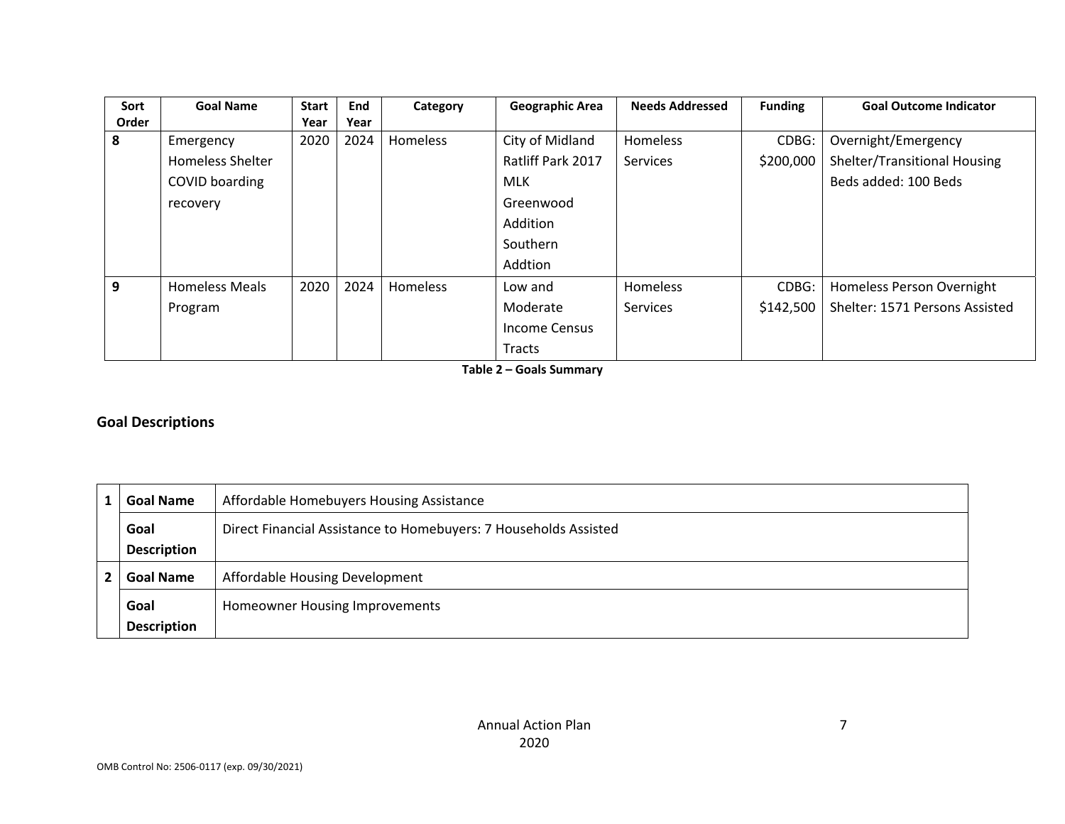| Sort  | <b>Goal Name</b>        | <b>Start</b> | End  | Category | <b>Geographic Area</b> | <b>Needs Addressed</b> | <b>Funding</b> | <b>Goal Outcome Indicator</b>  |
|-------|-------------------------|--------------|------|----------|------------------------|------------------------|----------------|--------------------------------|
| Order |                         | Year         | Year |          |                        |                        |                |                                |
| 8     | Emergency               | 2020         | 2024 | Homeless | City of Midland        | Homeless               | CDBG:          | Overnight/Emergency            |
|       | <b>Homeless Shelter</b> |              |      |          | Ratliff Park 2017      | Services               | \$200,000      | Shelter/Transitional Housing   |
|       | COVID boarding          |              |      |          | <b>MLK</b>             |                        |                | Beds added: 100 Beds           |
|       | recovery                |              |      |          | Greenwood              |                        |                |                                |
|       |                         |              |      |          | Addition               |                        |                |                                |
|       |                         |              |      |          | Southern               |                        |                |                                |
|       |                         |              |      |          | Addtion                |                        |                |                                |
| 9     | <b>Homeless Meals</b>   | 2020         | 2024 | Homeless | Low and                | Homeless               | CDBG:          | Homeless Person Overnight      |
|       | Program                 |              |      |          | Moderate               | Services               | \$142,500      | Shelter: 1571 Persons Assisted |
|       |                         |              |      |          | Income Census          |                        |                |                                |
|       |                         |              |      |          | Tracts                 |                        |                |                                |

**Table 2 – Goals Summary** 

### **Goal Descriptions**

| <b>Goal Name</b>   | Affordable Homebuyers Housing Assistance                         |
|--------------------|------------------------------------------------------------------|
| Goal               | Direct Financial Assistance to Homebuyers: 7 Households Assisted |
| <b>Description</b> |                                                                  |
| <b>Goal Name</b>   | Affordable Housing Development                                   |
| Goal               | Homeowner Housing Improvements                                   |
| <b>Description</b> |                                                                  |

7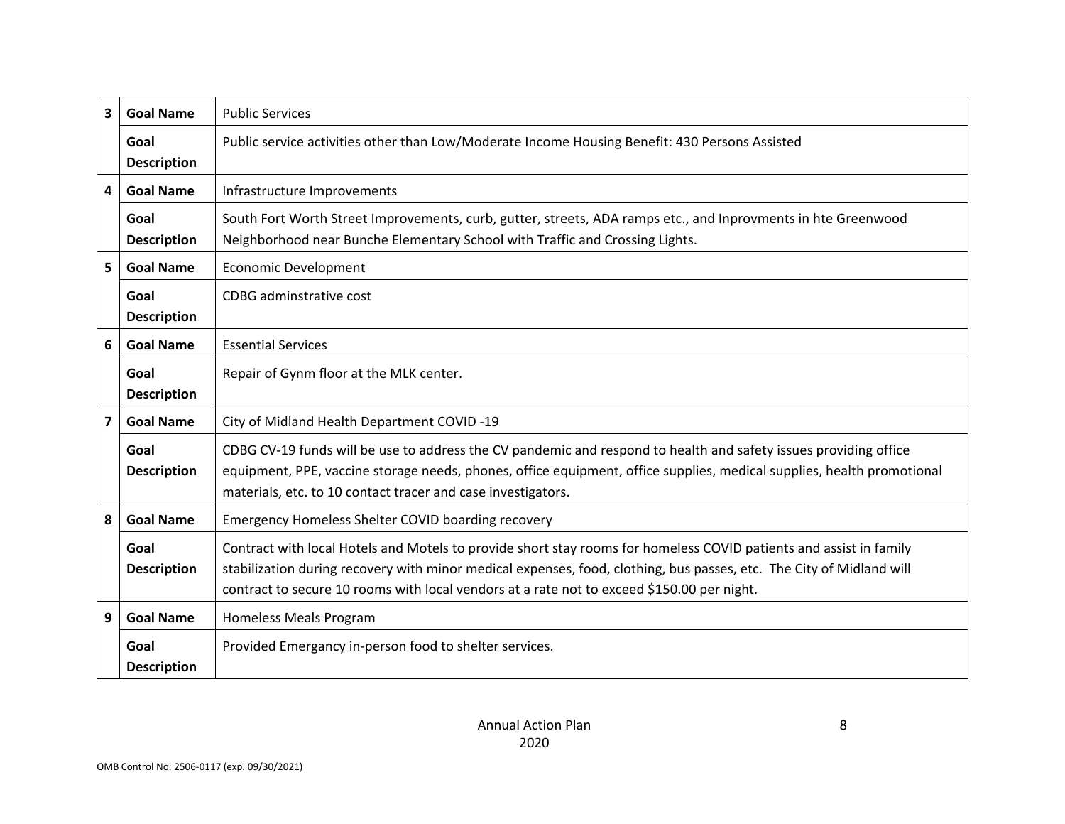| 3              | <b>Goal Name</b>           | <b>Public Services</b>                                                                                                                                                                                                                                                                                                                   |
|----------------|----------------------------|------------------------------------------------------------------------------------------------------------------------------------------------------------------------------------------------------------------------------------------------------------------------------------------------------------------------------------------|
|                | Goal<br><b>Description</b> | Public service activities other than Low/Moderate Income Housing Benefit: 430 Persons Assisted                                                                                                                                                                                                                                           |
| 4              | <b>Goal Name</b>           | Infrastructure Improvements                                                                                                                                                                                                                                                                                                              |
|                | Goal<br><b>Description</b> | South Fort Worth Street Improvements, curb, gutter, streets, ADA ramps etc., and Inprovments in hte Greenwood<br>Neighborhood near Bunche Elementary School with Traffic and Crossing Lights.                                                                                                                                            |
| 5              | <b>Goal Name</b>           | <b>Economic Development</b>                                                                                                                                                                                                                                                                                                              |
|                | Goal<br><b>Description</b> | CDBG adminstrative cost                                                                                                                                                                                                                                                                                                                  |
| 6              | <b>Goal Name</b>           | <b>Essential Services</b>                                                                                                                                                                                                                                                                                                                |
|                | Goal<br><b>Description</b> | Repair of Gynm floor at the MLK center.                                                                                                                                                                                                                                                                                                  |
| $\overline{7}$ | <b>Goal Name</b>           | City of Midland Health Department COVID-19                                                                                                                                                                                                                                                                                               |
|                | Goal<br><b>Description</b> | CDBG CV-19 funds will be use to address the CV pandemic and respond to health and safety issues providing office<br>equipment, PPE, vaccine storage needs, phones, office equipment, office supplies, medical supplies, health promotional<br>materials, etc. to 10 contact tracer and case investigators.                               |
| 8              | <b>Goal Name</b>           | Emergency Homeless Shelter COVID boarding recovery                                                                                                                                                                                                                                                                                       |
|                | Goal<br><b>Description</b> | Contract with local Hotels and Motels to provide short stay rooms for homeless COVID patients and assist in family<br>stabilization during recovery with minor medical expenses, food, clothing, bus passes, etc. The City of Midland will<br>contract to secure 10 rooms with local vendors at a rate not to exceed \$150.00 per night. |
| 9              | <b>Goal Name</b>           | Homeless Meals Program                                                                                                                                                                                                                                                                                                                   |
|                | Goal<br><b>Description</b> | Provided Emergancy in-person food to shelter services.                                                                                                                                                                                                                                                                                   |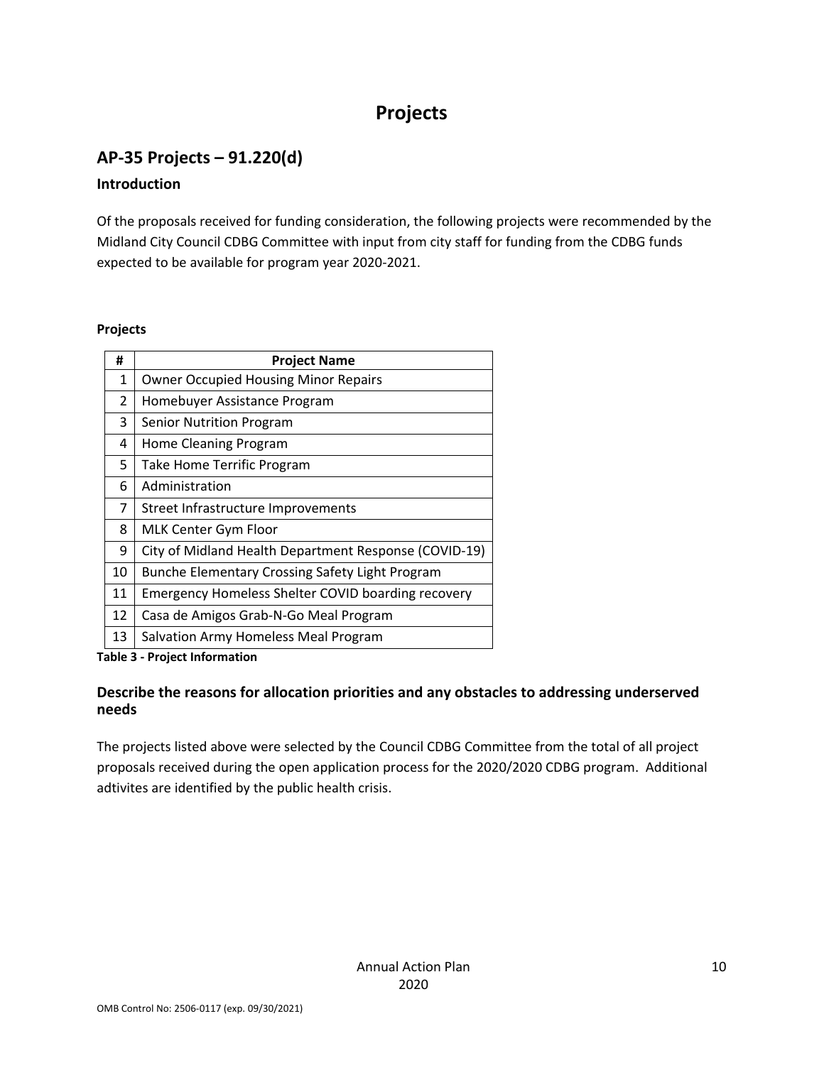# **Projects**

# **AP‐35 Projects – 91.220(d)**

### **Introduction**

Of the proposals received for funding consideration, the following projects were recommended by the Midland City Council CDBG Committee with input from city staff for funding from the CDBG funds expected to be available for program year 2020‐2021.

### **Projects**

| #  | <b>Project Name</b>                                   |
|----|-------------------------------------------------------|
| 1  | <b>Owner Occupied Housing Minor Repairs</b>           |
| 2  | Homebuyer Assistance Program                          |
| 3  | Senior Nutrition Program                              |
| 4  | Home Cleaning Program                                 |
| 5  | Take Home Terrific Program                            |
| 6  | Administration                                        |
| 7  | Street Infrastructure Improvements                    |
| 8  | MLK Center Gym Floor                                  |
| 9  | City of Midland Health Department Response (COVID-19) |
| 10 | Bunche Elementary Crossing Safety Light Program       |
| 11 | Emergency Homeless Shelter COVID boarding recovery    |
| 12 | Casa de Amigos Grab-N-Go Meal Program                 |
| 13 | Salvation Army Homeless Meal Program                  |

#### **Table 3 ‐ Project Information**

### **Describe the reasons for allocation priorities and any obstacles to addressing underserved needs**

The projects listed above were selected by the Council CDBG Committee from the total of all project proposals received during the open application process for the 2020/2020 CDBG program. Additional adtivites are identified by the public health crisis.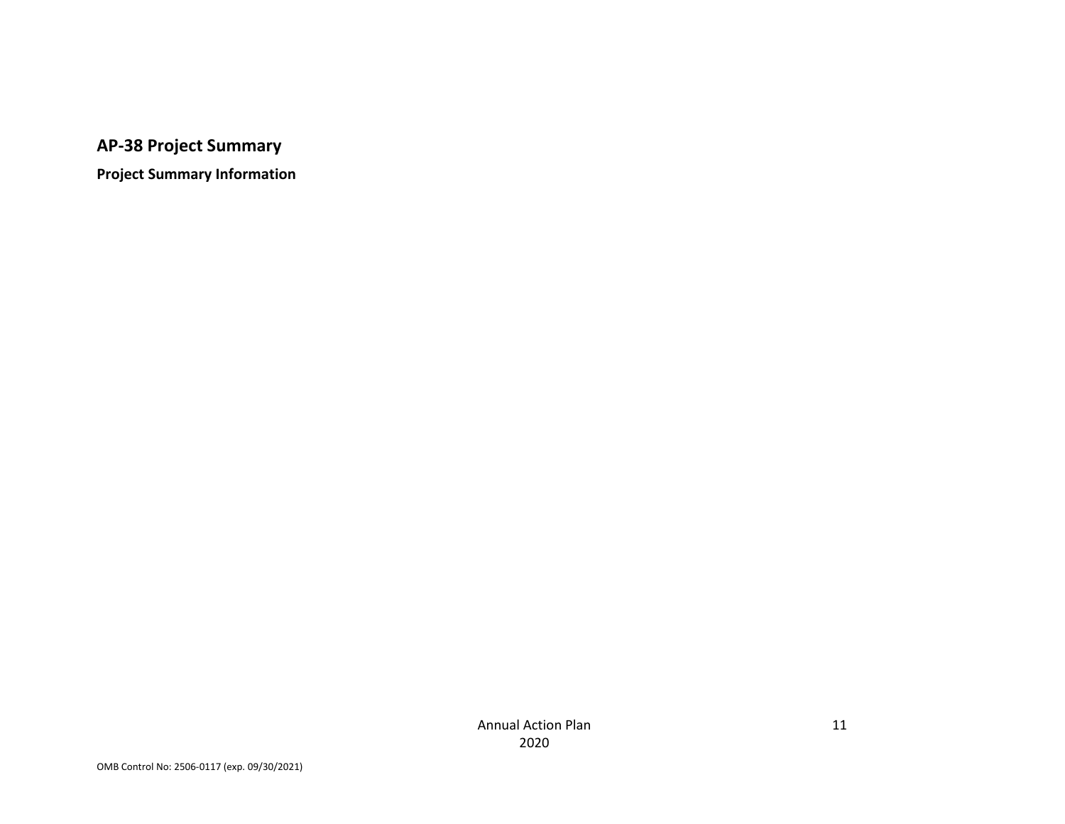# **AP‐38 Project Summary**

**Project Summary Information**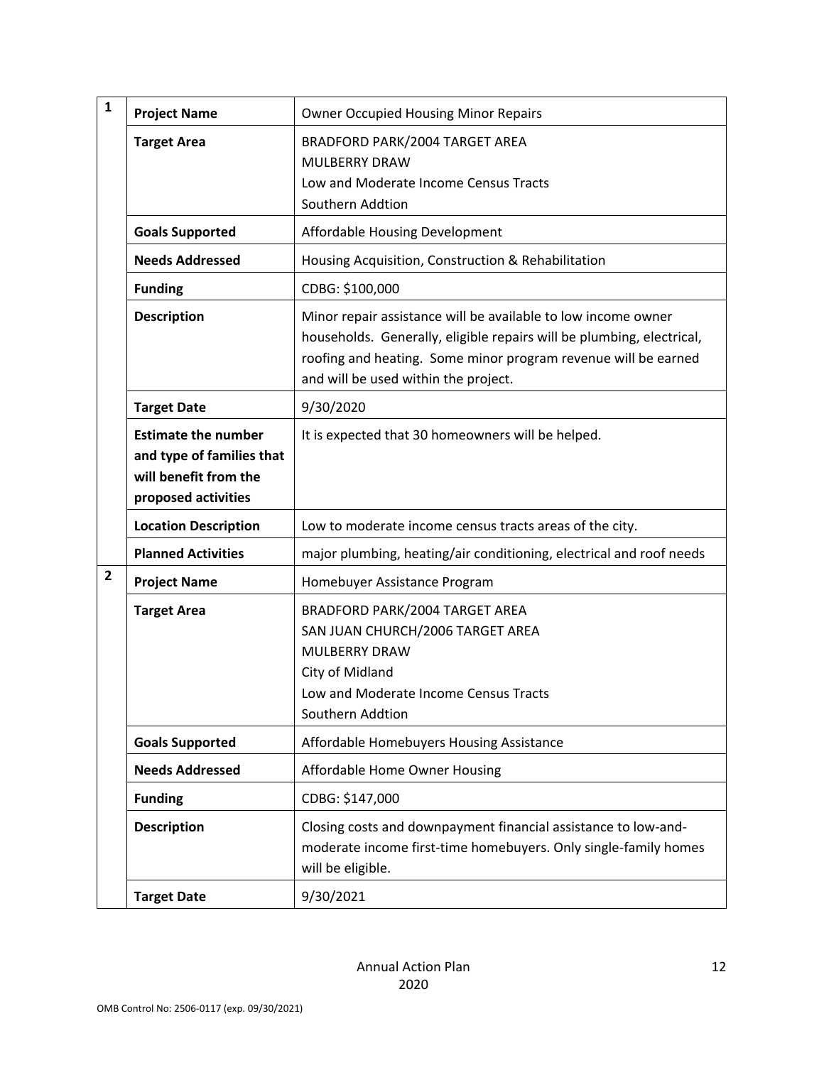| $\mathbf{1}$   | <b>Project Name</b>                                                                                     | <b>Owner Occupied Housing Minor Repairs</b>                                                                                                                                                                                                      |
|----------------|---------------------------------------------------------------------------------------------------------|--------------------------------------------------------------------------------------------------------------------------------------------------------------------------------------------------------------------------------------------------|
|                | <b>Target Area</b>                                                                                      | BRADFORD PARK/2004 TARGET AREA<br><b>MULBERRY DRAW</b><br>Low and Moderate Income Census Tracts<br>Southern Addtion                                                                                                                              |
|                | <b>Goals Supported</b>                                                                                  | Affordable Housing Development                                                                                                                                                                                                                   |
|                | <b>Needs Addressed</b>                                                                                  | Housing Acquisition, Construction & Rehabilitation                                                                                                                                                                                               |
|                | <b>Funding</b>                                                                                          | CDBG: \$100,000                                                                                                                                                                                                                                  |
|                | <b>Description</b>                                                                                      | Minor repair assistance will be available to low income owner<br>households. Generally, eligible repairs will be plumbing, electrical,<br>roofing and heating. Some minor program revenue will be earned<br>and will be used within the project. |
|                | <b>Target Date</b>                                                                                      | 9/30/2020                                                                                                                                                                                                                                        |
|                | <b>Estimate the number</b><br>and type of families that<br>will benefit from the<br>proposed activities | It is expected that 30 homeowners will be helped.                                                                                                                                                                                                |
|                | <b>Location Description</b>                                                                             | Low to moderate income census tracts areas of the city.                                                                                                                                                                                          |
|                | <b>Planned Activities</b>                                                                               | major plumbing, heating/air conditioning, electrical and roof needs                                                                                                                                                                              |
| $\overline{2}$ | <b>Project Name</b>                                                                                     | Homebuyer Assistance Program                                                                                                                                                                                                                     |
|                | <b>Target Area</b>                                                                                      | BRADFORD PARK/2004 TARGET AREA<br>SAN JUAN CHURCH/2006 TARGET AREA<br><b>MULBERRY DRAW</b><br>City of Midland<br>Low and Moderate Income Census Tracts<br>Southern Addtion                                                                       |
|                | <b>Goals Supported</b>                                                                                  | Affordable Homebuyers Housing Assistance                                                                                                                                                                                                         |
|                | <b>Needs Addressed</b>                                                                                  | Affordable Home Owner Housing                                                                                                                                                                                                                    |
|                | <b>Funding</b>                                                                                          | CDBG: \$147,000                                                                                                                                                                                                                                  |
|                | <b>Description</b>                                                                                      | Closing costs and downpayment financial assistance to low-and-<br>moderate income first-time homebuyers. Only single-family homes<br>will be eligible.                                                                                           |
|                | <b>Target Date</b>                                                                                      | 9/30/2021                                                                                                                                                                                                                                        |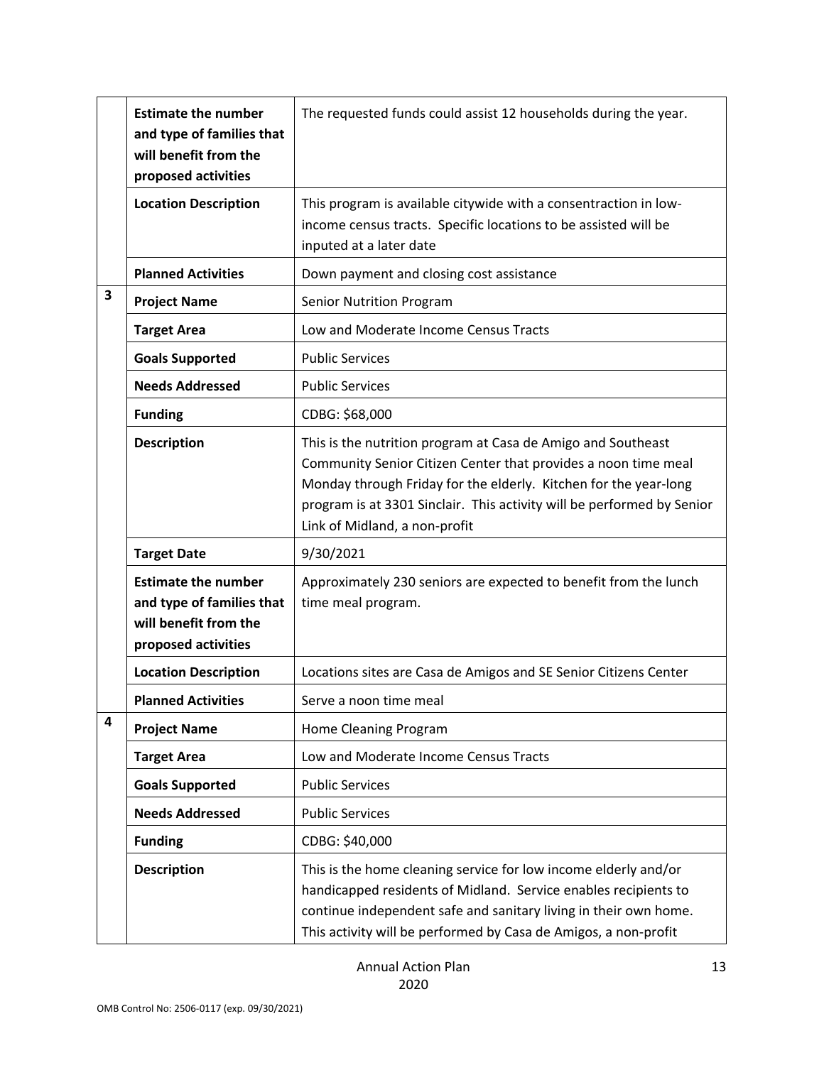|   | <b>Estimate the number</b><br>and type of families that<br>will benefit from the<br>proposed activities | The requested funds could assist 12 households during the year.                                                                                                                                                                                                                                               |
|---|---------------------------------------------------------------------------------------------------------|---------------------------------------------------------------------------------------------------------------------------------------------------------------------------------------------------------------------------------------------------------------------------------------------------------------|
|   | <b>Location Description</b>                                                                             | This program is available citywide with a consentraction in low-<br>income census tracts. Specific locations to be assisted will be<br>inputed at a later date                                                                                                                                                |
|   | <b>Planned Activities</b>                                                                               | Down payment and closing cost assistance                                                                                                                                                                                                                                                                      |
| 3 | <b>Project Name</b>                                                                                     | <b>Senior Nutrition Program</b>                                                                                                                                                                                                                                                                               |
|   | <b>Target Area</b>                                                                                      | Low and Moderate Income Census Tracts                                                                                                                                                                                                                                                                         |
|   | <b>Goals Supported</b>                                                                                  | <b>Public Services</b>                                                                                                                                                                                                                                                                                        |
|   | <b>Needs Addressed</b>                                                                                  | <b>Public Services</b>                                                                                                                                                                                                                                                                                        |
|   | <b>Funding</b>                                                                                          | CDBG: \$68,000                                                                                                                                                                                                                                                                                                |
|   | <b>Description</b>                                                                                      | This is the nutrition program at Casa de Amigo and Southeast<br>Community Senior Citizen Center that provides a noon time meal<br>Monday through Friday for the elderly. Kitchen for the year-long<br>program is at 3301 Sinclair. This activity will be performed by Senior<br>Link of Midland, a non-profit |
|   | <b>Target Date</b>                                                                                      | 9/30/2021                                                                                                                                                                                                                                                                                                     |
|   | <b>Estimate the number</b><br>and type of families that<br>will benefit from the<br>proposed activities | Approximately 230 seniors are expected to benefit from the lunch<br>time meal program.                                                                                                                                                                                                                        |
|   | <b>Location Description</b>                                                                             | Locations sites are Casa de Amigos and SE Senior Citizens Center                                                                                                                                                                                                                                              |
|   | <b>Planned Activities</b>                                                                               | Serve a noon time meal                                                                                                                                                                                                                                                                                        |
| 4 | <b>Project Name</b>                                                                                     | Home Cleaning Program                                                                                                                                                                                                                                                                                         |
|   | <b>Target Area</b>                                                                                      | Low and Moderate Income Census Tracts                                                                                                                                                                                                                                                                         |
|   | <b>Goals Supported</b>                                                                                  | <b>Public Services</b>                                                                                                                                                                                                                                                                                        |
|   | <b>Needs Addressed</b>                                                                                  | <b>Public Services</b>                                                                                                                                                                                                                                                                                        |
|   | <b>Funding</b>                                                                                          | CDBG: \$40,000                                                                                                                                                                                                                                                                                                |
|   | <b>Description</b>                                                                                      | This is the home cleaning service for low income elderly and/or<br>handicapped residents of Midland. Service enables recipients to<br>continue independent safe and sanitary living in their own home.<br>This activity will be performed by Casa de Amigos, a non-profit                                     |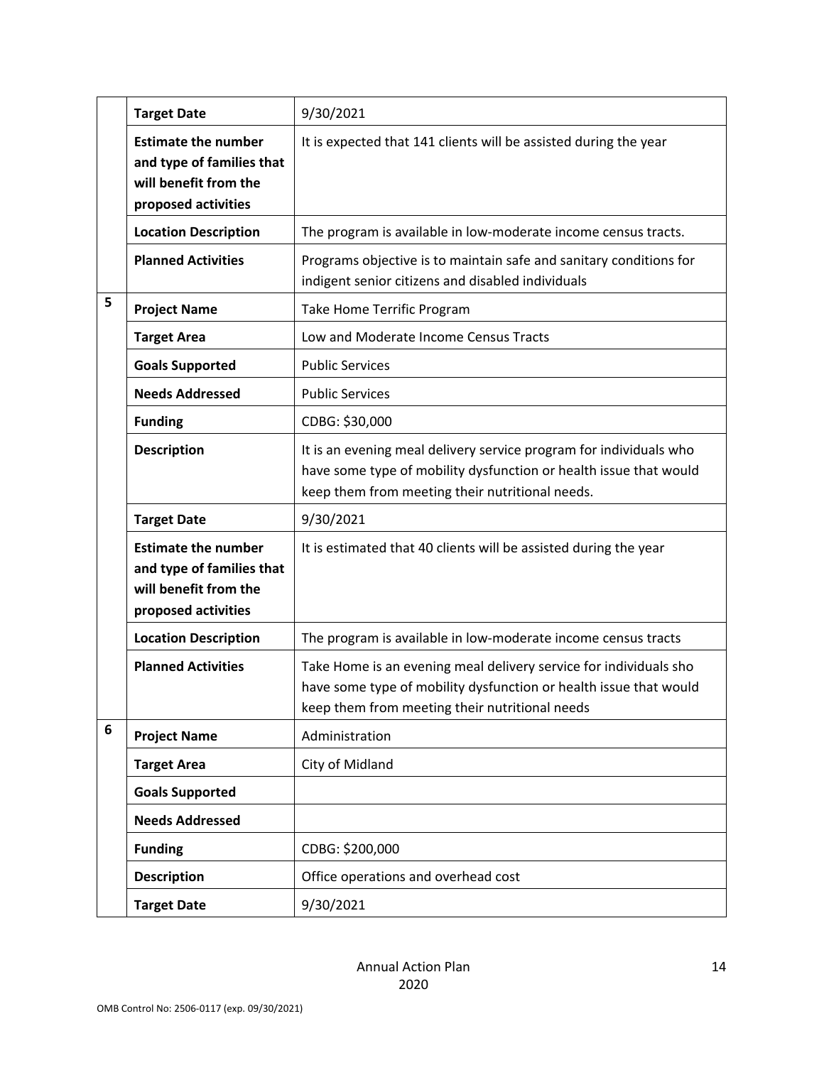|   | <b>Target Date</b>                                                                                      | 9/30/2021                                                                                                                                                                                  |
|---|---------------------------------------------------------------------------------------------------------|--------------------------------------------------------------------------------------------------------------------------------------------------------------------------------------------|
|   | <b>Estimate the number</b><br>and type of families that<br>will benefit from the<br>proposed activities | It is expected that 141 clients will be assisted during the year                                                                                                                           |
|   | <b>Location Description</b>                                                                             | The program is available in low-moderate income census tracts.                                                                                                                             |
|   | <b>Planned Activities</b>                                                                               | Programs objective is to maintain safe and sanitary conditions for<br>indigent senior citizens and disabled individuals                                                                    |
| 5 | <b>Project Name</b>                                                                                     | Take Home Terrific Program                                                                                                                                                                 |
|   | <b>Target Area</b>                                                                                      | Low and Moderate Income Census Tracts                                                                                                                                                      |
|   | <b>Goals Supported</b>                                                                                  | <b>Public Services</b>                                                                                                                                                                     |
|   | <b>Needs Addressed</b>                                                                                  | <b>Public Services</b>                                                                                                                                                                     |
|   | <b>Funding</b>                                                                                          | CDBG: \$30,000                                                                                                                                                                             |
|   | <b>Description</b>                                                                                      | It is an evening meal delivery service program for individuals who<br>have some type of mobility dysfunction or health issue that would<br>keep them from meeting their nutritional needs. |
|   | <b>Target Date</b>                                                                                      | 9/30/2021                                                                                                                                                                                  |
|   | <b>Estimate the number</b><br>and type of families that<br>will benefit from the<br>proposed activities | It is estimated that 40 clients will be assisted during the year                                                                                                                           |
|   | <b>Location Description</b>                                                                             | The program is available in low-moderate income census tracts                                                                                                                              |
|   | <b>Planned Activities</b>                                                                               | Take Home is an evening meal delivery service for individuals sho<br>have some type of mobility dysfunction or health issue that would<br>keep them from meeting their nutritional needs   |
| 6 | <b>Project Name</b>                                                                                     | Administration                                                                                                                                                                             |
|   | <b>Target Area</b>                                                                                      | City of Midland                                                                                                                                                                            |
|   | <b>Goals Supported</b>                                                                                  |                                                                                                                                                                                            |
|   | <b>Needs Addressed</b>                                                                                  |                                                                                                                                                                                            |
|   | <b>Funding</b>                                                                                          | CDBG: \$200,000                                                                                                                                                                            |
|   | <b>Description</b>                                                                                      | Office operations and overhead cost                                                                                                                                                        |
|   | <b>Target Date</b>                                                                                      | 9/30/2021                                                                                                                                                                                  |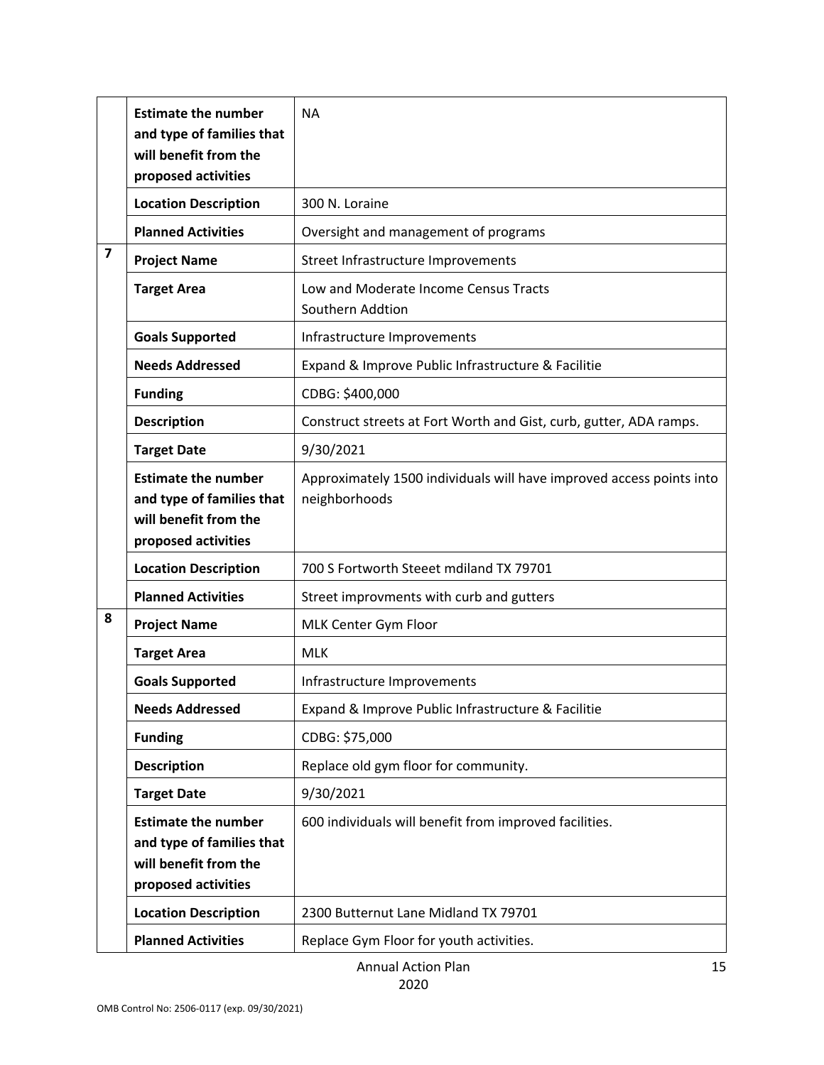|                | <b>Estimate the number</b><br>and type of families that<br>will benefit from the<br>proposed activities | <b>NA</b>                                                                             |
|----------------|---------------------------------------------------------------------------------------------------------|---------------------------------------------------------------------------------------|
|                | <b>Location Description</b>                                                                             | 300 N. Loraine                                                                        |
|                | <b>Planned Activities</b>                                                                               | Oversight and management of programs                                                  |
| $\overline{7}$ | <b>Project Name</b>                                                                                     | Street Infrastructure Improvements                                                    |
|                | <b>Target Area</b>                                                                                      | Low and Moderate Income Census Tracts<br>Southern Addtion                             |
|                | <b>Goals Supported</b>                                                                                  | Infrastructure Improvements                                                           |
|                | <b>Needs Addressed</b>                                                                                  | Expand & Improve Public Infrastructure & Facilitie                                    |
|                | <b>Funding</b>                                                                                          | CDBG: \$400,000                                                                       |
|                | <b>Description</b>                                                                                      | Construct streets at Fort Worth and Gist, curb, gutter, ADA ramps.                    |
|                | <b>Target Date</b>                                                                                      | 9/30/2021                                                                             |
|                | <b>Estimate the number</b><br>and type of families that<br>will benefit from the<br>proposed activities | Approximately 1500 individuals will have improved access points into<br>neighborhoods |
|                | <b>Location Description</b>                                                                             | 700 S Fortworth Steeet mdiland TX 79701                                               |
|                | <b>Planned Activities</b>                                                                               | Street improvments with curb and gutters                                              |
| 8              | <b>Project Name</b>                                                                                     | MLK Center Gym Floor                                                                  |
|                | <b>Target Area</b>                                                                                      | <b>MLK</b>                                                                            |
|                | <b>Goals Supported</b>                                                                                  | Infrastructure Improvements                                                           |
|                | <b>Needs Addressed</b>                                                                                  | Expand & Improve Public Infrastructure & Facilitie                                    |
|                | <b>Funding</b>                                                                                          | CDBG: \$75,000                                                                        |
|                | <b>Description</b>                                                                                      | Replace old gym floor for community.                                                  |
|                | <b>Target Date</b>                                                                                      | 9/30/2021                                                                             |
|                | <b>Estimate the number</b><br>and type of families that<br>will benefit from the<br>proposed activities | 600 individuals will benefit from improved facilities.                                |
|                | <b>Location Description</b>                                                                             | 2300 Butternut Lane Midland TX 79701                                                  |
|                | <b>Planned Activities</b>                                                                               | Replace Gym Floor for youth activities.                                               |

Annual Action Plan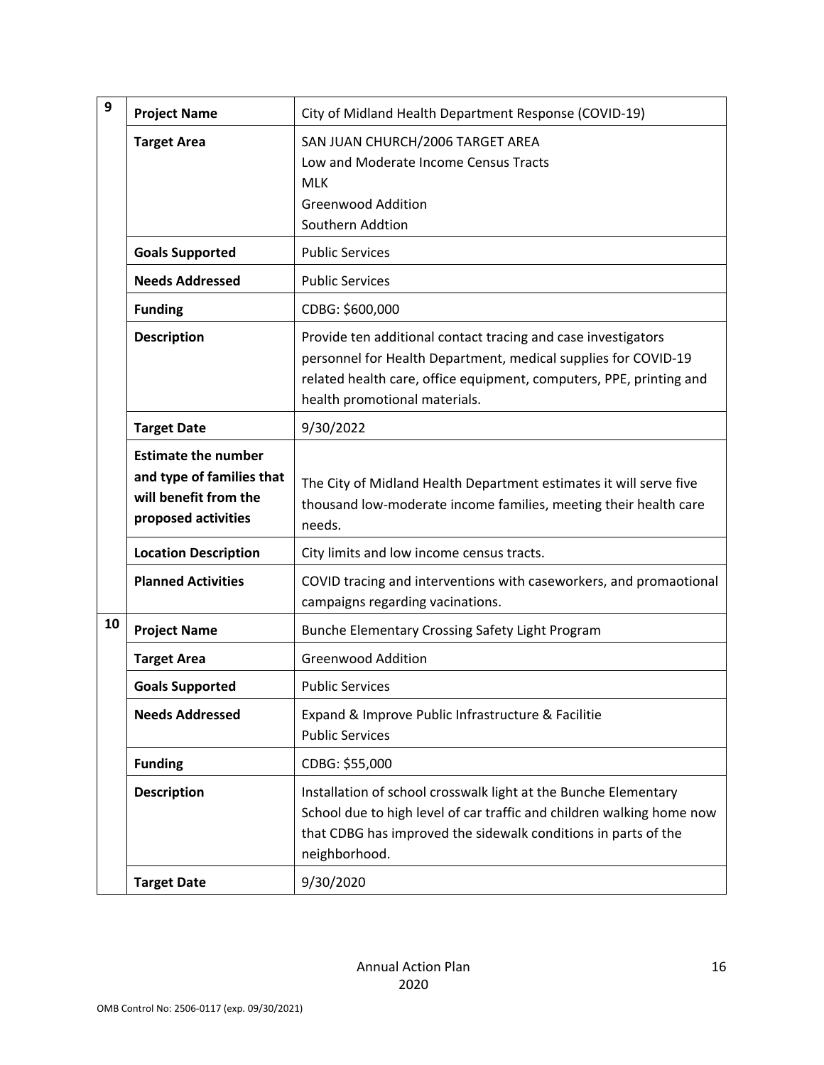| 9  | <b>Project Name</b>                                                                                     | City of Midland Health Department Response (COVID-19)                                                                                                                                                                                   |
|----|---------------------------------------------------------------------------------------------------------|-----------------------------------------------------------------------------------------------------------------------------------------------------------------------------------------------------------------------------------------|
|    | <b>Target Area</b>                                                                                      | SAN JUAN CHURCH/2006 TARGET AREA<br>Low and Moderate Income Census Tracts<br><b>MLK</b><br><b>Greenwood Addition</b><br>Southern Addtion                                                                                                |
|    | <b>Goals Supported</b>                                                                                  | <b>Public Services</b>                                                                                                                                                                                                                  |
|    | <b>Needs Addressed</b>                                                                                  | <b>Public Services</b>                                                                                                                                                                                                                  |
|    | <b>Funding</b>                                                                                          | CDBG: \$600,000                                                                                                                                                                                                                         |
|    | <b>Description</b>                                                                                      | Provide ten additional contact tracing and case investigators<br>personnel for Health Department, medical supplies for COVID-19<br>related health care, office equipment, computers, PPE, printing and<br>health promotional materials. |
|    | <b>Target Date</b>                                                                                      | 9/30/2022                                                                                                                                                                                                                               |
|    | <b>Estimate the number</b><br>and type of families that<br>will benefit from the<br>proposed activities | The City of Midland Health Department estimates it will serve five<br>thousand low-moderate income families, meeting their health care<br>needs.                                                                                        |
|    | <b>Location Description</b>                                                                             | City limits and low income census tracts.                                                                                                                                                                                               |
|    | <b>Planned Activities</b>                                                                               | COVID tracing and interventions with caseworkers, and promaotional<br>campaigns regarding vacinations.                                                                                                                                  |
| 10 | <b>Project Name</b>                                                                                     | Bunche Elementary Crossing Safety Light Program                                                                                                                                                                                         |
|    | <b>Target Area</b>                                                                                      | <b>Greenwood Addition</b>                                                                                                                                                                                                               |
|    | <b>Goals Supported</b>                                                                                  | <b>Public Services</b>                                                                                                                                                                                                                  |
|    | <b>Needs Addressed</b>                                                                                  | Expand & Improve Public Infrastructure & Facilitie<br><b>Public Services</b>                                                                                                                                                            |
|    | <b>Funding</b>                                                                                          | CDBG: \$55,000                                                                                                                                                                                                                          |
|    | <b>Description</b>                                                                                      | Installation of school crosswalk light at the Bunche Elementary<br>School due to high level of car traffic and children walking home now<br>that CDBG has improved the sidewalk conditions in parts of the<br>neighborhood.             |
|    | <b>Target Date</b>                                                                                      | 9/30/2020                                                                                                                                                                                                                               |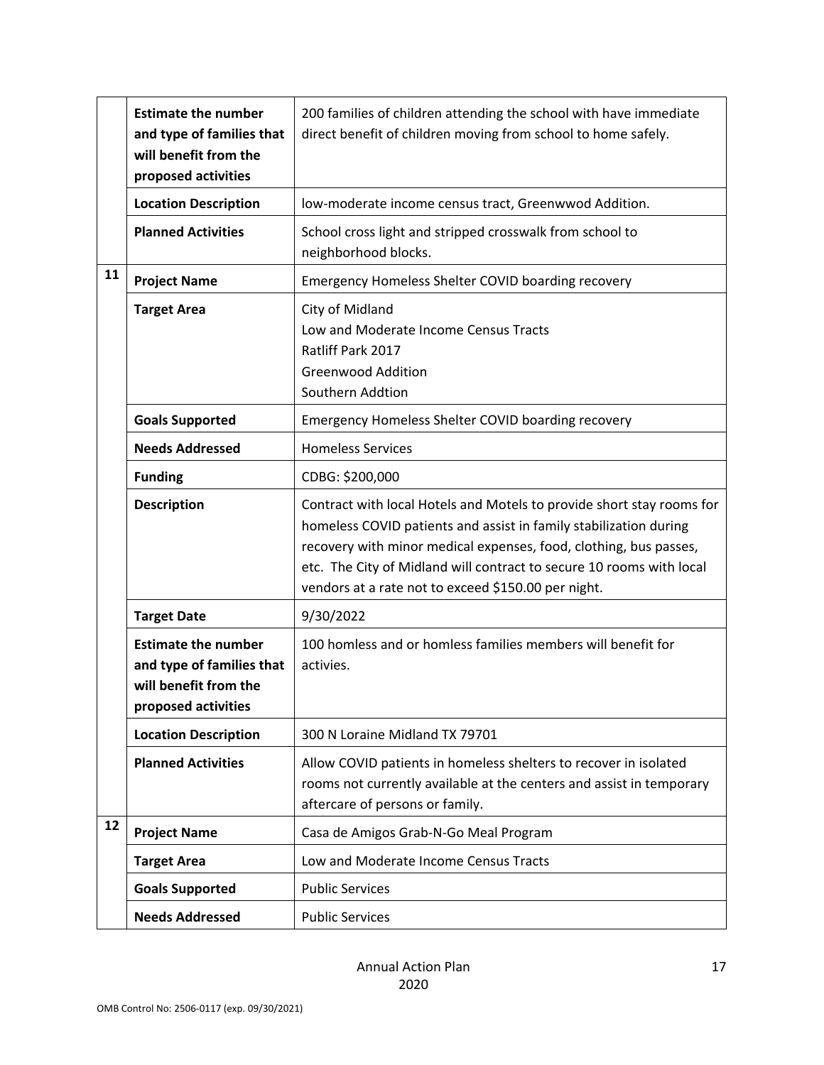|    | <b>Estimate the number</b><br>and type of families that<br>will benefit from the<br>proposed activities | 200 families of children attending the school with have immediate<br>direct benefit of children moving from school to home safely.                                                                                                                                                                                                             |
|----|---------------------------------------------------------------------------------------------------------|------------------------------------------------------------------------------------------------------------------------------------------------------------------------------------------------------------------------------------------------------------------------------------------------------------------------------------------------|
|    | <b>Location Description</b>                                                                             | low-moderate income census tract, Greenwwod Addition.                                                                                                                                                                                                                                                                                          |
|    | <b>Planned Activities</b>                                                                               | School cross light and stripped crosswalk from school to<br>neighborhood blocks.                                                                                                                                                                                                                                                               |
| 11 | <b>Project Name</b>                                                                                     | Emergency Homeless Shelter COVID boarding recovery                                                                                                                                                                                                                                                                                             |
|    | <b>Target Area</b>                                                                                      | City of Midland<br>Low and Moderate Income Census Tracts<br>Ratliff Park 2017<br><b>Greenwood Addition</b><br>Southern Addtion                                                                                                                                                                                                                 |
|    | <b>Goals Supported</b>                                                                                  | Emergency Homeless Shelter COVID boarding recovery                                                                                                                                                                                                                                                                                             |
|    | <b>Needs Addressed</b>                                                                                  | <b>Homeless Services</b>                                                                                                                                                                                                                                                                                                                       |
|    | <b>Funding</b>                                                                                          | CDBG: \$200,000                                                                                                                                                                                                                                                                                                                                |
|    | <b>Description</b>                                                                                      | Contract with local Hotels and Motels to provide short stay rooms for<br>homeless COVID patients and assist in family stabilization during<br>recovery with minor medical expenses, food, clothing, bus passes,<br>etc. The City of Midland will contract to secure 10 rooms with local<br>vendors at a rate not to exceed \$150.00 per night. |
|    | <b>Target Date</b>                                                                                      | 9/30/2022                                                                                                                                                                                                                                                                                                                                      |
|    | <b>Estimate the number</b><br>and type of families that<br>will benefit from the<br>proposed activities | 100 homless and or homless families members will benefit for<br>activies.                                                                                                                                                                                                                                                                      |
|    | <b>Location Description</b>                                                                             | 300 N Loraine Midland TX 79701                                                                                                                                                                                                                                                                                                                 |
|    | <b>Planned Activities</b>                                                                               | Allow COVID patients in homeless shelters to recover in isolated<br>rooms not currently available at the centers and assist in temporary<br>aftercare of persons or family.                                                                                                                                                                    |
| 12 | <b>Project Name</b>                                                                                     | Casa de Amigos Grab-N-Go Meal Program                                                                                                                                                                                                                                                                                                          |
|    | <b>Target Area</b>                                                                                      | Low and Moderate Income Census Tracts                                                                                                                                                                                                                                                                                                          |
|    | <b>Goals Supported</b>                                                                                  | <b>Public Services</b>                                                                                                                                                                                                                                                                                                                         |
|    | <b>Needs Addressed</b>                                                                                  | <b>Public Services</b>                                                                                                                                                                                                                                                                                                                         |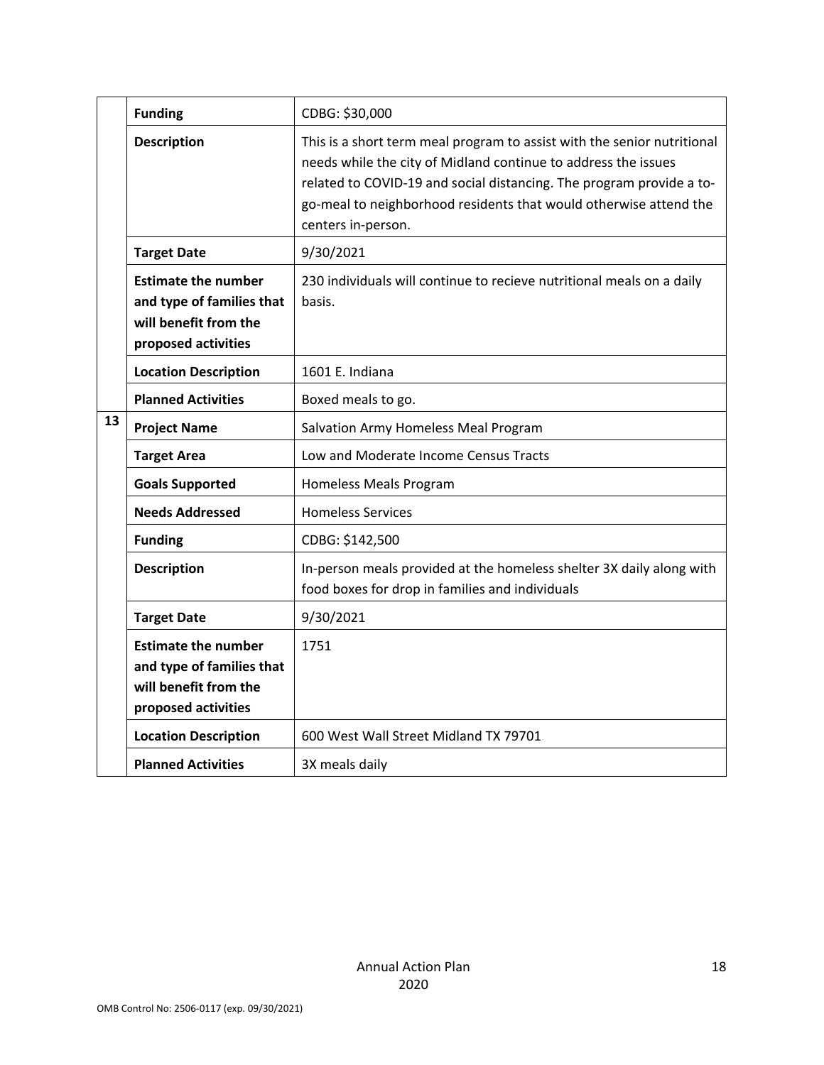|    | <b>Funding</b>                                                                                          | CDBG: \$30,000                                                                                                                                                                                                                                                                                               |
|----|---------------------------------------------------------------------------------------------------------|--------------------------------------------------------------------------------------------------------------------------------------------------------------------------------------------------------------------------------------------------------------------------------------------------------------|
|    | <b>Description</b>                                                                                      | This is a short term meal program to assist with the senior nutritional<br>needs while the city of Midland continue to address the issues<br>related to COVID-19 and social distancing. The program provide a to-<br>go-meal to neighborhood residents that would otherwise attend the<br>centers in-person. |
|    | <b>Target Date</b>                                                                                      | 9/30/2021                                                                                                                                                                                                                                                                                                    |
|    | <b>Estimate the number</b><br>and type of families that<br>will benefit from the<br>proposed activities | 230 individuals will continue to recieve nutritional meals on a daily<br>basis.                                                                                                                                                                                                                              |
|    | <b>Location Description</b>                                                                             | 1601 E. Indiana                                                                                                                                                                                                                                                                                              |
|    | <b>Planned Activities</b>                                                                               | Boxed meals to go.                                                                                                                                                                                                                                                                                           |
| 13 | <b>Project Name</b>                                                                                     | Salvation Army Homeless Meal Program                                                                                                                                                                                                                                                                         |
|    | <b>Target Area</b>                                                                                      | Low and Moderate Income Census Tracts                                                                                                                                                                                                                                                                        |
|    | <b>Goals Supported</b>                                                                                  | Homeless Meals Program                                                                                                                                                                                                                                                                                       |
|    | <b>Needs Addressed</b>                                                                                  | <b>Homeless Services</b>                                                                                                                                                                                                                                                                                     |
|    | <b>Funding</b>                                                                                          | CDBG: \$142,500                                                                                                                                                                                                                                                                                              |
|    | <b>Description</b>                                                                                      | In-person meals provided at the homeless shelter 3X daily along with<br>food boxes for drop in families and individuals                                                                                                                                                                                      |
|    | <b>Target Date</b>                                                                                      | 9/30/2021                                                                                                                                                                                                                                                                                                    |
|    | <b>Estimate the number</b><br>and type of families that<br>will benefit from the<br>proposed activities | 1751                                                                                                                                                                                                                                                                                                         |
|    | <b>Location Description</b>                                                                             | 600 West Wall Street Midland TX 79701                                                                                                                                                                                                                                                                        |
|    | <b>Planned Activities</b>                                                                               | 3X meals daily                                                                                                                                                                                                                                                                                               |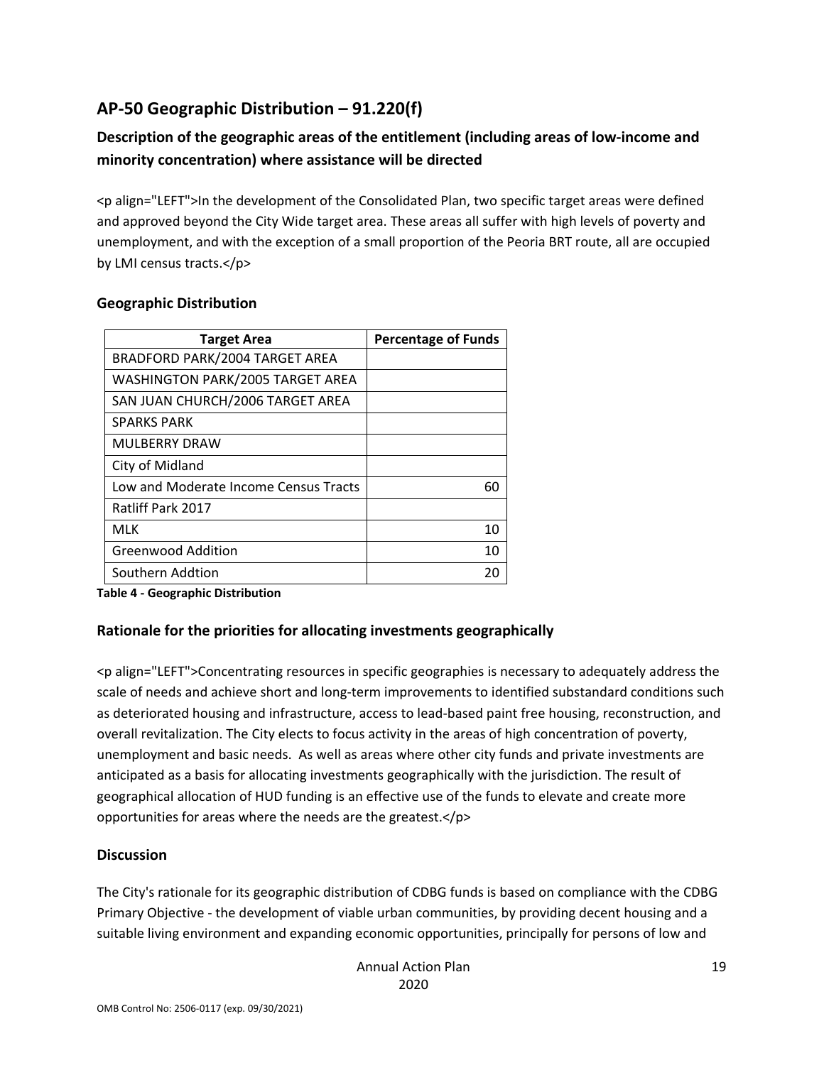# **AP‐50 Geographic Distribution – 91.220(f)**

## **Description of the geographic areas of the entitlement (including areas of low‐income and minority concentration) where assistance will be directed**

<p align="LEFT">In the development of the Consolidated Plan, two specific target areas were defined and approved beyond the City Wide target area. These areas all suffer with high levels of poverty and unemployment, and with the exception of a small proportion of the Peoria BRT route, all are occupied by LMI census tracts.</p>

| <b>Percentage of Funds</b> |
|----------------------------|
|                            |
|                            |
|                            |
|                            |
|                            |
|                            |
| 60                         |
|                            |
| 10                         |
| 10                         |
| 20                         |
|                            |

### **Geographic Distribution**

**Table 4 ‐ Geographic Distribution** 

### **Rationale for the priorities for allocating investments geographically**

<p align="LEFT">Concentrating resources in specific geographies is necessary to adequately address the scale of needs and achieve short and long-term improvements to identified substandard conditions such as deteriorated housing and infrastructure, access to lead‐based paint free housing, reconstruction, and overall revitalization. The City elects to focus activity in the areas of high concentration of poverty, unemployment and basic needs. As well as areas where other city funds and private investments are anticipated as a basis for allocating investments geographically with the jurisdiction. The result of geographical allocation of HUD funding is an effective use of the funds to elevate and create more opportunities for areas where the needs are the greatest.</p>

### **Discussion**

The City's rationale for its geographic distribution of CDBG funds is based on compliance with the CDBG Primary Objective ‐ the development of viable urban communities, by providing decent housing and a suitable living environment and expanding economic opportunities, principally for persons of low and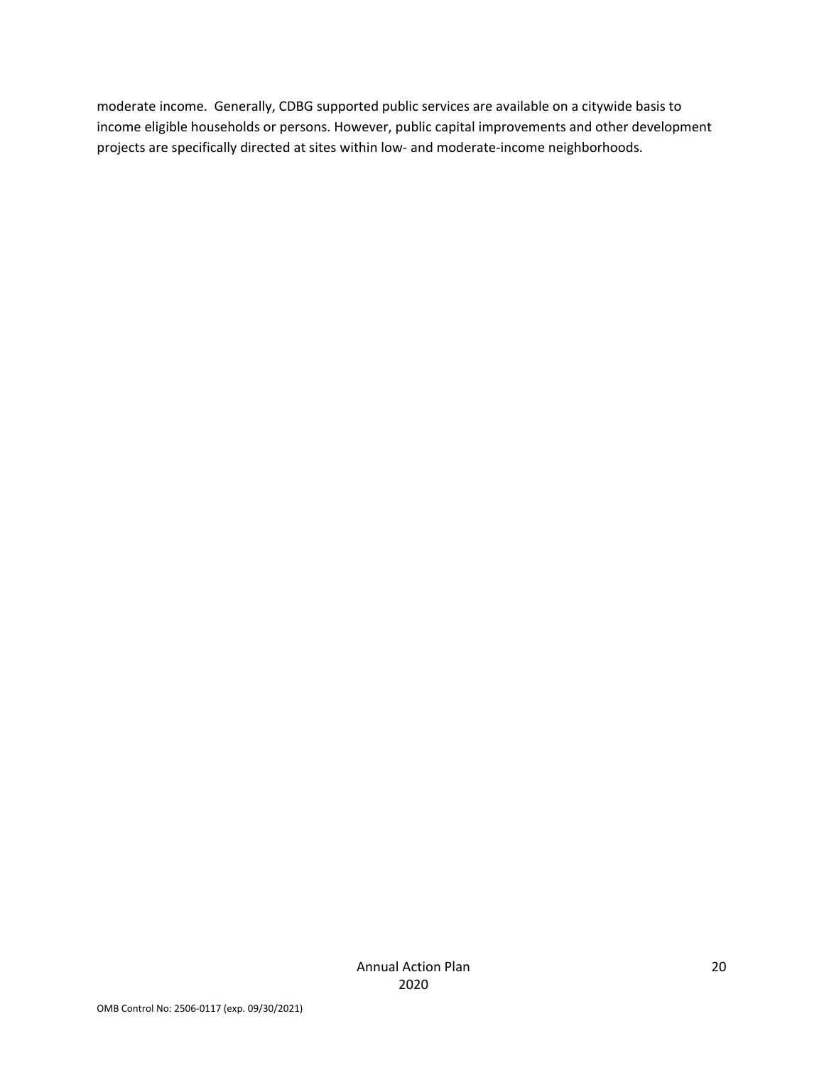moderate income. Generally, CDBG supported public services are available on a citywide basis to income eligible households or persons. However, public capital improvements and other development projects are specifically directed at sites within low‐ and moderate‐income neighborhoods.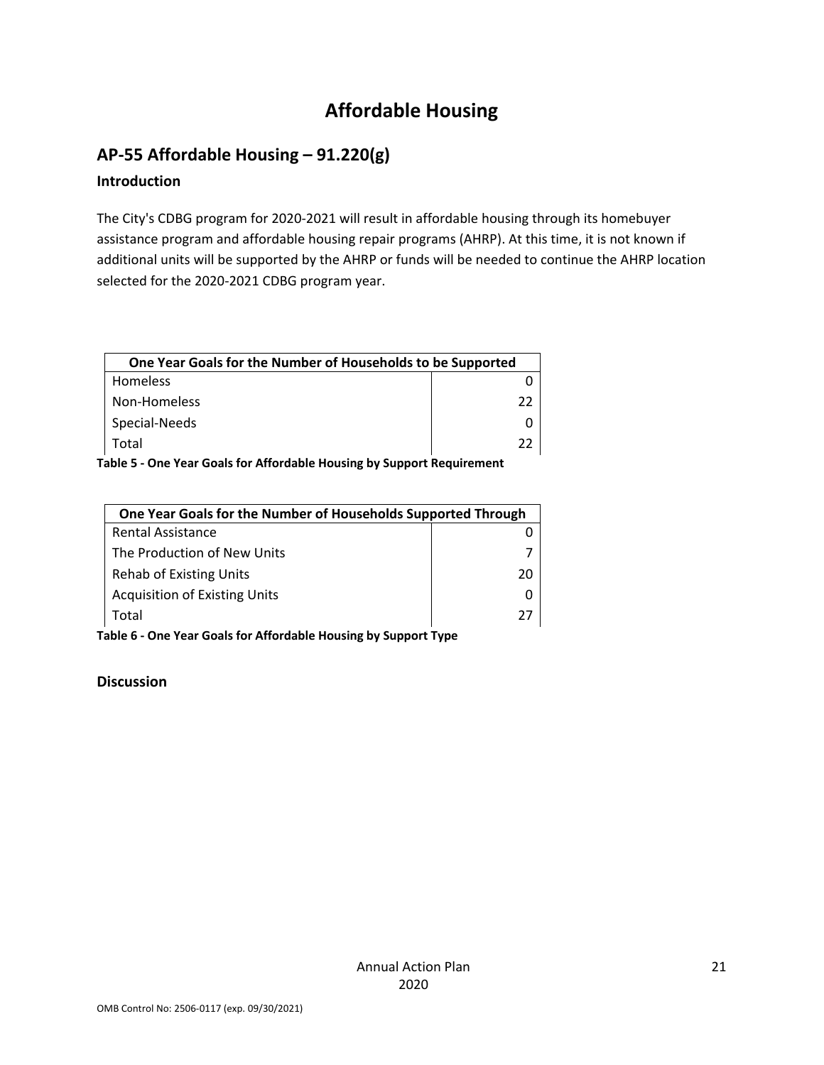# **Affordable Housing**

# **AP‐55 Affordable Housing – 91.220(g)**

### **Introduction**

The City's CDBG program for 2020‐2021 will result in affordable housing through its homebuyer assistance program and affordable housing repair programs (AHRP). At this time, it is not known if additional units will be supported by the AHRP or funds will be needed to continue the AHRP location selected for the 2020‐2021 CDBG program year.

| One Year Goals for the Number of Households to be Supported |    |
|-------------------------------------------------------------|----|
| Homeless                                                    |    |
| Non-Homeless                                                | つつ |
| Special-Needs                                               |    |
| Total                                                       | つつ |

**Table 5 ‐ One Year Goals for Affordable Housing by Support Requirement** 

| One Year Goals for the Number of Households Supported Through |    |
|---------------------------------------------------------------|----|
| <b>Rental Assistance</b>                                      |    |
| The Production of New Units                                   |    |
| <b>Rehab of Existing Units</b>                                | 20 |
| <b>Acquisition of Existing Units</b>                          |    |
| Total                                                         | 77 |

**Table 6 ‐ One Year Goals for Affordable Housing by Support Type**

### **Discussion**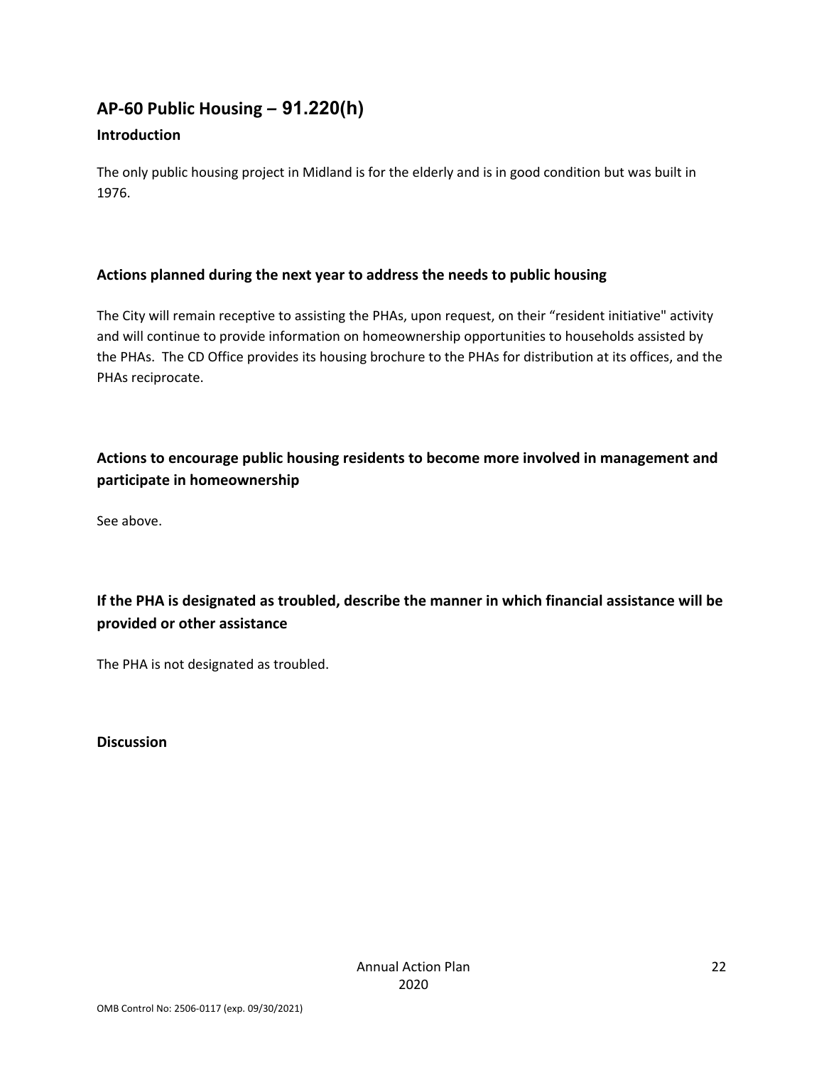# **AP‐60 Public Housing** *–* **91.220(h)**

### **Introduction**

The only public housing project in Midland is for the elderly and is in good condition but was built in 1976.

### **Actions planned during the next year to address the needs to public housing**

The City will remain receptive to assisting the PHAs, upon request, on their "resident initiative" activity and will continue to provide information on homeownership opportunities to households assisted by the PHAs. The CD Office provides its housing brochure to the PHAs for distribution at its offices, and the PHAs reciprocate.

## **Actions to encourage public housing residents to become more involved in management and participate in homeownership**

See above.

**If the PHA is designated as troubled, describe the manner in which financial assistance will be provided or other assistance** 

The PHA is not designated as troubled.

**Discussion**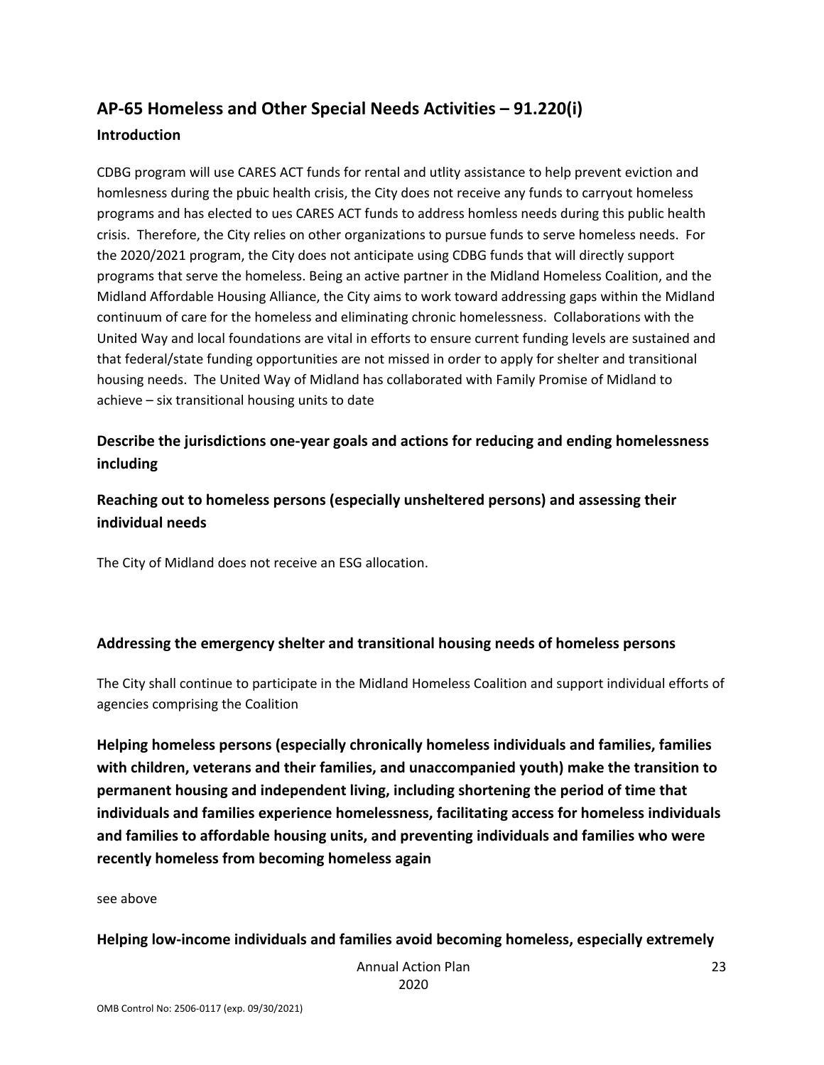# **AP‐65 Homeless and Other Special Needs Activities – 91.220(i) Introduction**

CDBG program will use CARES ACT funds for rental and utlity assistance to help prevent eviction and homlesness during the pbuic health crisis, the City does not receive any funds to carryout homeless programs and has elected to ues CARES ACT funds to address homless needs during this public health crisis. Therefore, the City relies on other organizations to pursue funds to serve homeless needs. For the 2020/2021 program, the City does not anticipate using CDBG funds that will directly support programs that serve the homeless. Being an active partner in the Midland Homeless Coalition, and the Midland Affordable Housing Alliance, the City aims to work toward addressing gaps within the Midland continuum of care for the homeless and eliminating chronic homelessness. Collaborations with the United Way and local foundations are vital in efforts to ensure current funding levels are sustained and that federal/state funding opportunities are not missed in order to apply for shelter and transitional housing needs. The United Way of Midland has collaborated with Family Promise of Midland to achieve – six transitional housing units to date

### **Describe the jurisdictions one‐year goals and actions for reducing and ending homelessness including**

**Reaching out to homeless persons (especially unsheltered persons) and assessing their individual needs** 

The City of Midland does not receive an ESG allocation.

### **Addressing the emergency shelter and transitional housing needs of homeless persons**

The City shall continue to participate in the Midland Homeless Coalition and support individual efforts of agencies comprising the Coalition

**Helping homeless persons (especially chronically homeless individuals and families, families with children, veterans and their families, and unaccompanied youth) make the transition to permanent housing and independent living, including shortening the period of time that individuals and families experience homelessness, facilitating access for homeless individuals and families to affordable housing units, and preventing individuals and families who were recently homeless from becoming homeless again** 

#### see above

#### **Helping low‐income individuals and families avoid becoming homeless, especially extremely**

 Annual Action Plan 2020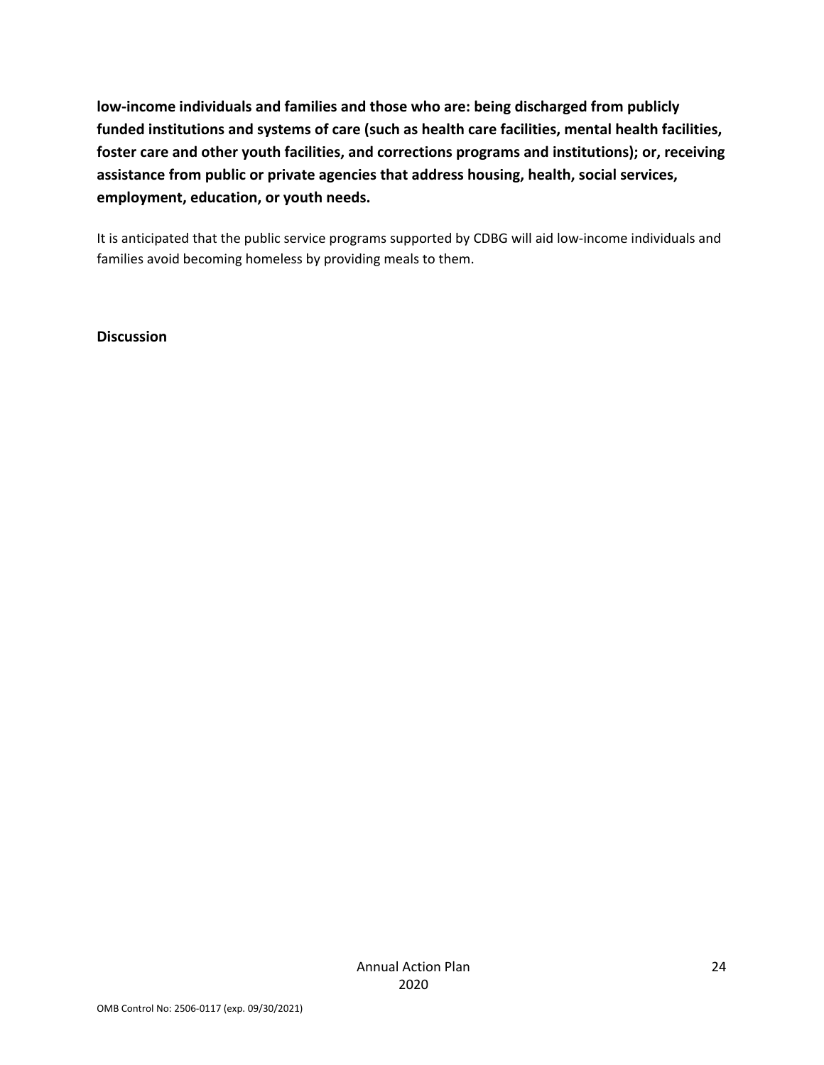**low‐income individuals and families and those who are: being discharged from publicly funded institutions and systems of care (such as health care facilities, mental health facilities, foster care and other youth facilities, and corrections programs and institutions); or, receiving assistance from public or private agencies that address housing, health, social services, employment, education, or youth needs.** 

It is anticipated that the public service programs supported by CDBG will aid low-income individuals and families avoid becoming homeless by providing meals to them.

**Discussion**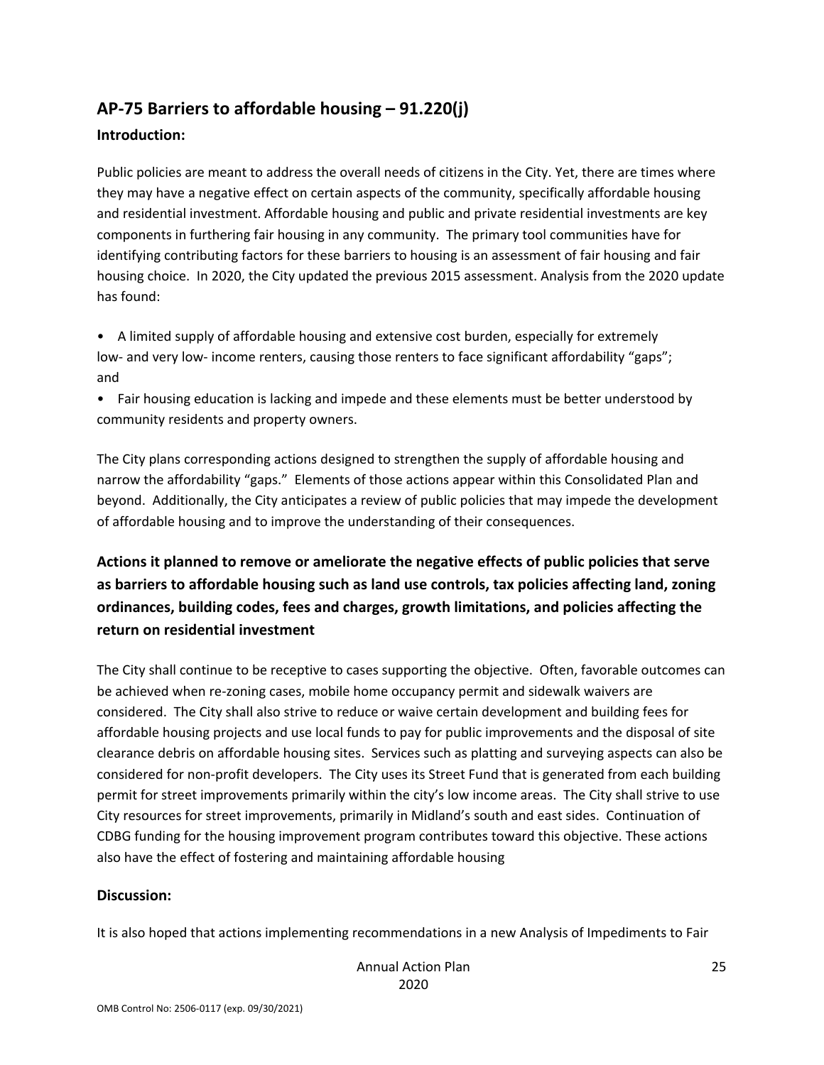## **AP‐75 Barriers to affordable housing – 91.220(j)**

### **Introduction:**

Public policies are meant to address the overall needs of citizens in the City. Yet, there are times where they may have a negative effect on certain aspects of the community, specifically affordable housing and residential investment. Affordable housing and public and private residential investments are key components in furthering fair housing in any community. The primary tool communities have for identifying contributing factors for these barriers to housing is an assessment of fair housing and fair housing choice. In 2020, the City updated the previous 2015 assessment. Analysis from the 2020 update has found:

• A limited supply of affordable housing and extensive cost burden, especially for extremely low‐ and very low‐ income renters, causing those renters to face significant affordability "gaps"; and

• Fair housing education is lacking and impede and these elements must be better understood by community residents and property owners.

The City plans corresponding actions designed to strengthen the supply of affordable housing and narrow the affordability "gaps." Elements of those actions appear within this Consolidated Plan and beyond. Additionally, the City anticipates a review of public policies that may impede the development of affordable housing and to improve the understanding of their consequences.

**Actions it planned to remove or ameliorate the negative effects of public policies that serve as barriers to affordable housing such as land use controls, tax policies affecting land, zoning ordinances, building codes, fees and charges, growth limitations, and policies affecting the return on residential investment** 

The City shall continue to be receptive to cases supporting the objective. Often, favorable outcomes can be achieved when re‐zoning cases, mobile home occupancy permit and sidewalk waivers are considered. The City shall also strive to reduce or waive certain development and building fees for affordable housing projects and use local funds to pay for public improvements and the disposal of site clearance debris on affordable housing sites. Services such as platting and surveying aspects can also be considered for non‐profit developers. The City uses its Street Fund that is generated from each building permit for street improvements primarily within the city's low income areas. The City shall strive to use City resources for street improvements, primarily in Midland's south and east sides. Continuation of CDBG funding for the housing improvement program contributes toward this objective. These actions also have the effect of fostering and maintaining affordable housing

#### **Discussion:**

It is also hoped that actions implementing recommendations in a new Analysis of Impediments to Fair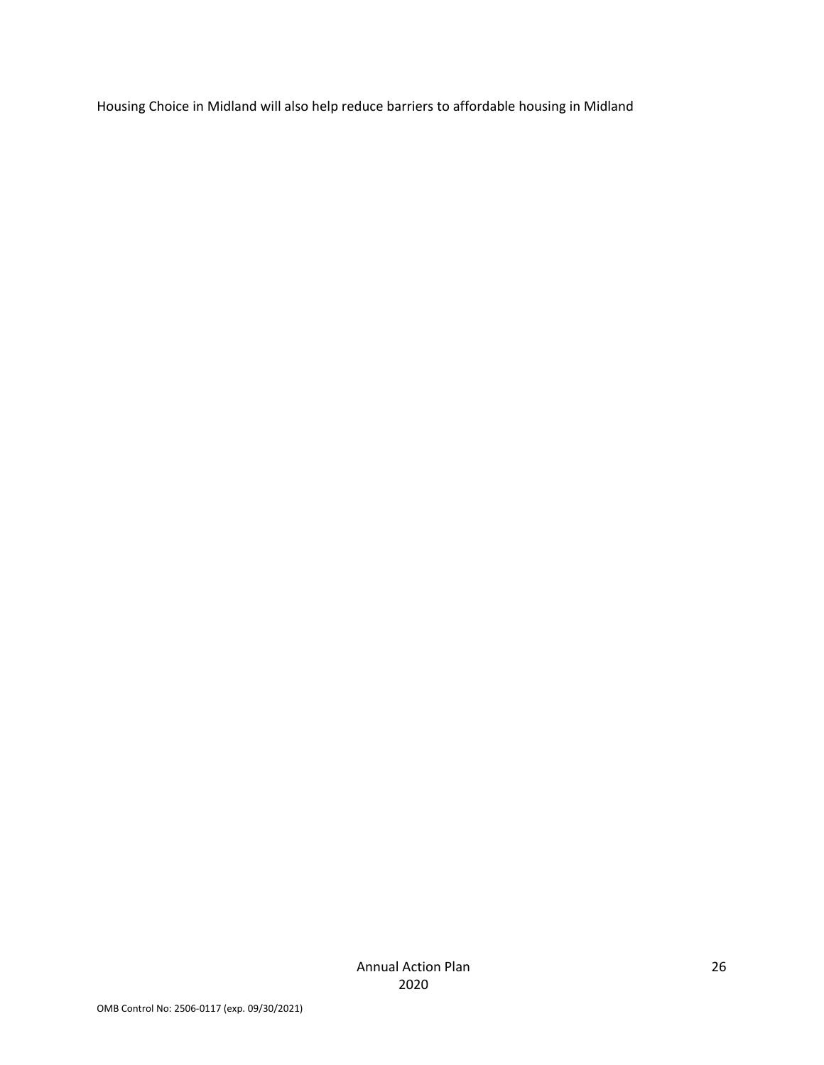Housing Choice in Midland will also help reduce barriers to affordable housing in Midland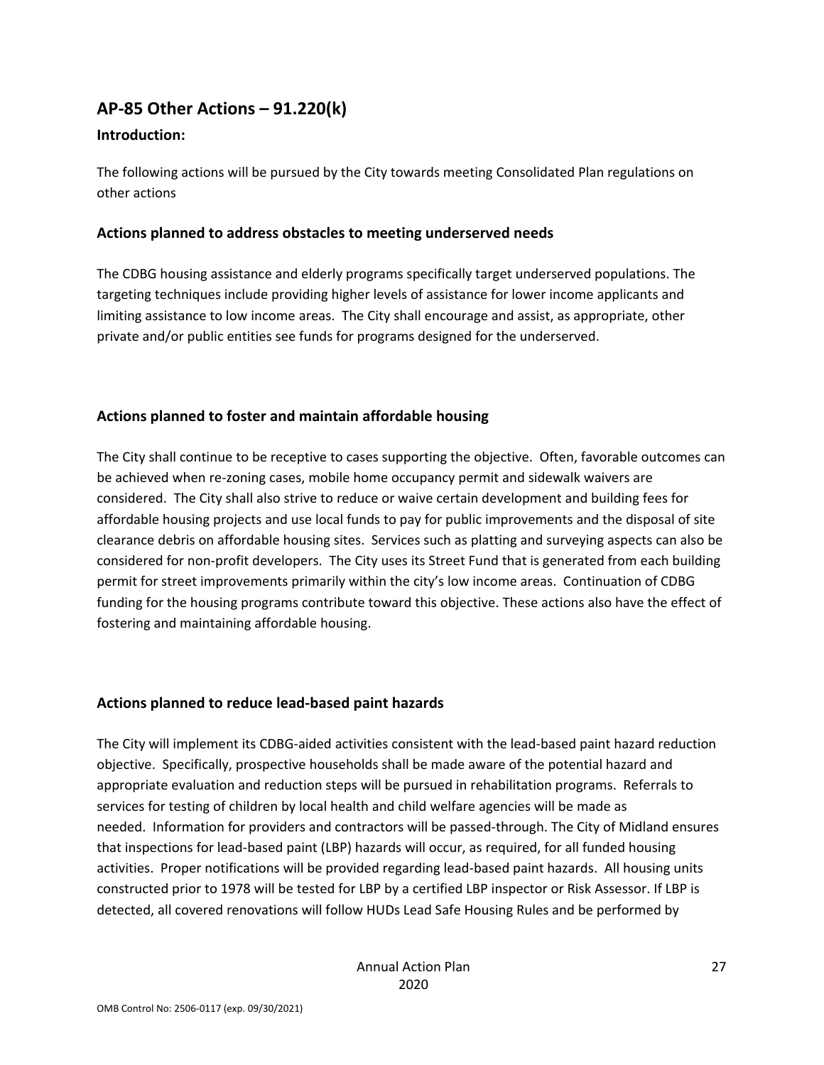### **AP‐85 Other Actions – 91.220(k)**

#### **Introduction:**

The following actions will be pursued by the City towards meeting Consolidated Plan regulations on other actions

### **Actions planned to address obstacles to meeting underserved needs**

The CDBG housing assistance and elderly programs specifically target underserved populations. The targeting techniques include providing higher levels of assistance for lower income applicants and limiting assistance to low income areas. The City shall encourage and assist, as appropriate, other private and/or public entities see funds for programs designed for the underserved.

### **Actions planned to foster and maintain affordable housing**

The City shall continue to be receptive to cases supporting the objective. Often, favorable outcomes can be achieved when re-zoning cases, mobile home occupancy permit and sidewalk waivers are considered. The City shall also strive to reduce or waive certain development and building fees for affordable housing projects and use local funds to pay for public improvements and the disposal of site clearance debris on affordable housing sites. Services such as platting and surveying aspects can also be considered for non‐profit developers. The City uses its Street Fund that is generated from each building permit for street improvements primarily within the city's low income areas. Continuation of CDBG funding for the housing programs contribute toward this objective. These actions also have the effect of fostering and maintaining affordable housing.

#### **Actions planned to reduce lead‐based paint hazards**

The City will implement its CDBG‐aided activities consistent with the lead‐based paint hazard reduction objective. Specifically, prospective households shall be made aware of the potential hazard and appropriate evaluation and reduction steps will be pursued in rehabilitation programs. Referrals to services for testing of children by local health and child welfare agencies will be made as needed. Information for providers and contractors will be passed‐through. The City of Midland ensures that inspections for lead‐based paint (LBP) hazards will occur, as required, for all funded housing activities. Proper notifications will be provided regarding lead‐based paint hazards. All housing units constructed prior to 1978 will be tested for LBP by a certified LBP inspector or Risk Assessor. If LBP is detected, all covered renovations will follow HUDs Lead Safe Housing Rules and be performed by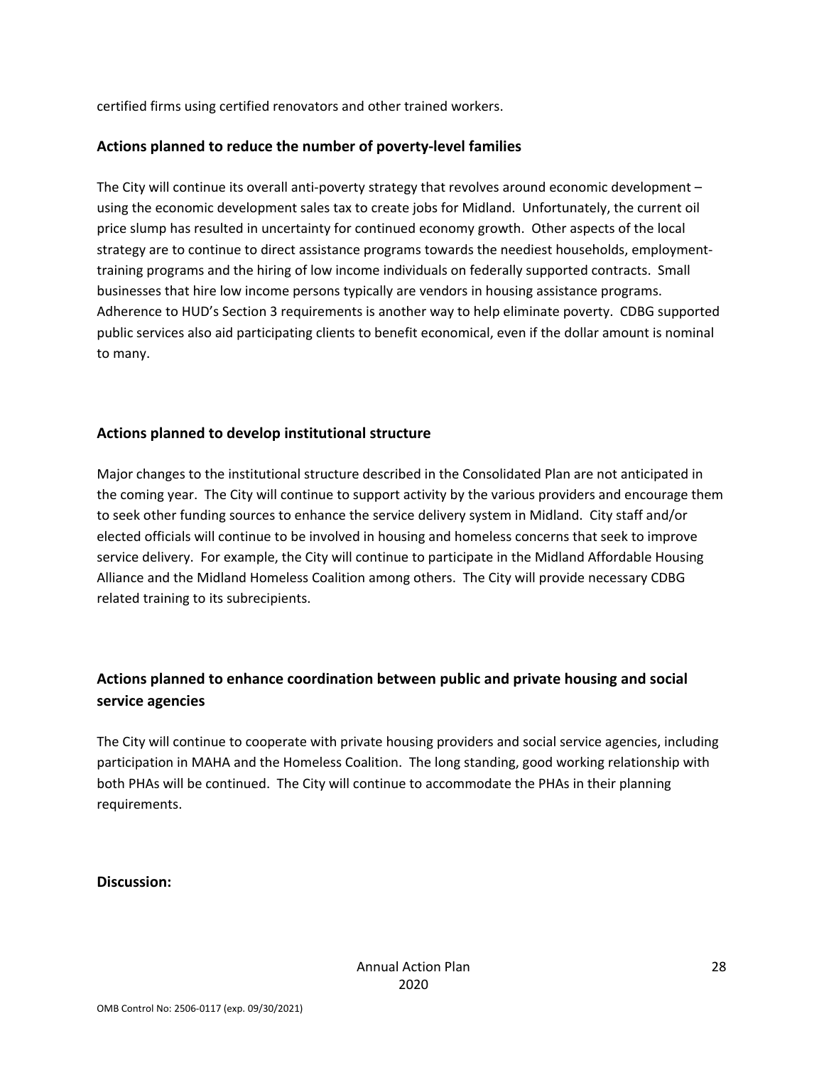certified firms using certified renovators and other trained workers.

### **Actions planned to reduce the number of poverty‐level families**

The City will continue its overall anti-poverty strategy that revolves around economic development  $$ using the economic development sales tax to create jobs for Midland. Unfortunately, the current oil price slump has resulted in uncertainty for continued economy growth. Other aspects of the local strategy are to continue to direct assistance programs towards the neediest households, employment‐ training programs and the hiring of low income individuals on federally supported contracts. Small businesses that hire low income persons typically are vendors in housing assistance programs. Adherence to HUD's Section 3 requirements is another way to help eliminate poverty. CDBG supported public services also aid participating clients to benefit economical, even if the dollar amount is nominal to many.

### **Actions planned to develop institutional structure**

Major changes to the institutional structure described in the Consolidated Plan are not anticipated in the coming year. The City will continue to support activity by the various providers and encourage them to seek other funding sources to enhance the service delivery system in Midland. City staff and/or elected officials will continue to be involved in housing and homeless concerns that seek to improve service delivery. For example, the City will continue to participate in the Midland Affordable Housing Alliance and the Midland Homeless Coalition among others. The City will provide necessary CDBG related training to its subrecipients.

### **Actions planned to enhance coordination between public and private housing and social service agencies**

The City will continue to cooperate with private housing providers and social service agencies, including participation in MAHA and the Homeless Coalition. The long standing, good working relationship with both PHAs will be continued. The City will continue to accommodate the PHAs in their planning requirements.

#### **Discussion:**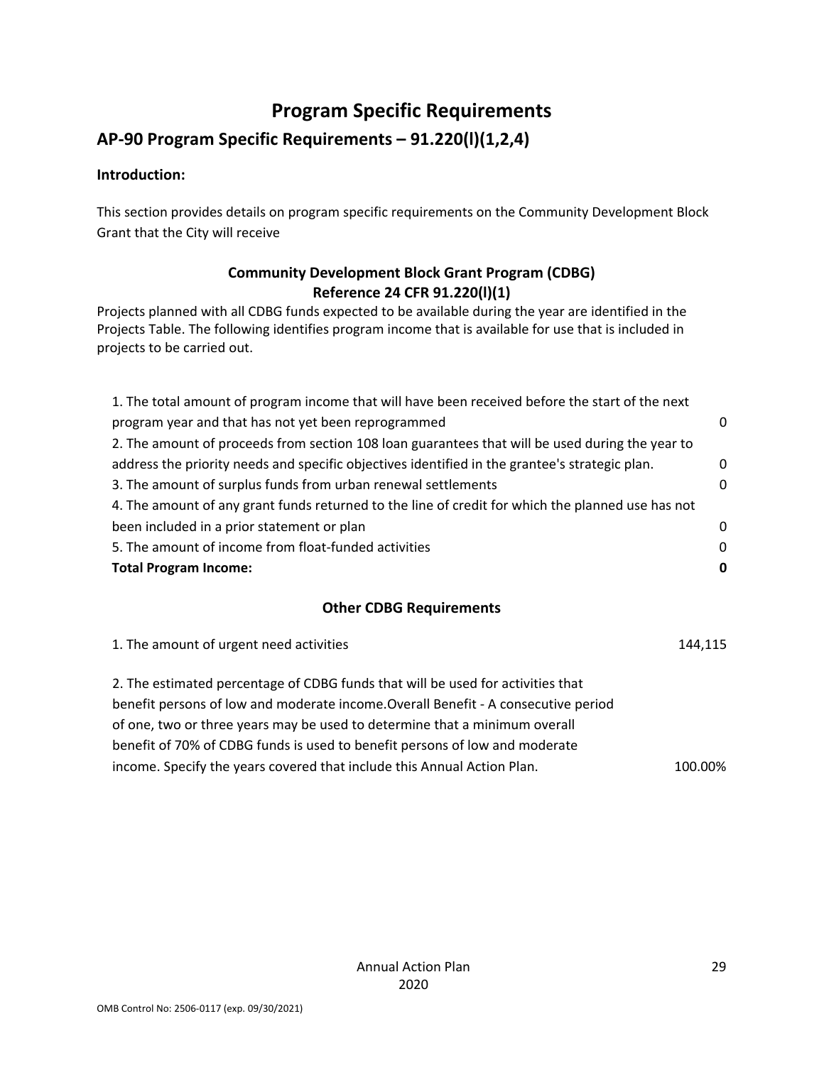# **Program Specific Requirements**

## **AP‐90 Program Specific Requirements – 91.220(l)(1,2,4)**

### **Introduction:**

This section provides details on program specific requirements on the Community Development Block Grant that the City will receive

### **Community Development Block Grant Program (CDBG) Reference 24 CFR 91.220(l)(1)**

Projects planned with all CDBG funds expected to be available during the year are identified in the Projects Table. The following identifies program income that is available for use that is included in projects to be carried out.

| 1. The total amount of program income that will have been received before the start of the next   |          |
|---------------------------------------------------------------------------------------------------|----------|
| program year and that has not yet been reprogrammed                                               | 0        |
| 2. The amount of proceeds from section 108 loan guarantees that will be used during the year to   |          |
| address the priority needs and specific objectives identified in the grantee's strategic plan.    | $\Omega$ |
| 3. The amount of surplus funds from urban renewal settlements                                     | 0        |
| 4. The amount of any grant funds returned to the line of credit for which the planned use has not |          |
| been included in a prior statement or plan                                                        | 0        |
| 5. The amount of income from float-funded activities                                              | $\Omega$ |
| <b>Total Program Income:</b>                                                                      |          |

### **Other CDBG Requirements**

| 144,115 |
|---------|
|         |
|         |
|         |
|         |
| 100.00% |
|         |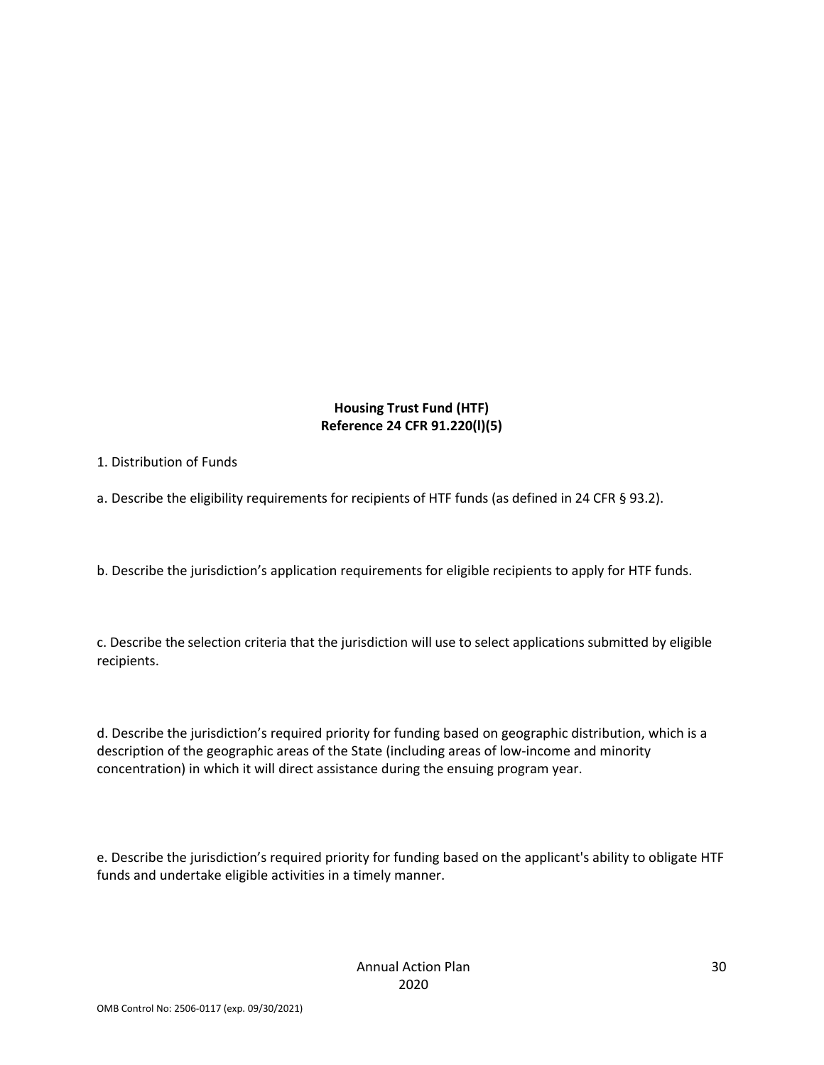### **Housing Trust Fund (HTF) Reference 24 CFR 91.220(l)(5)**

#### 1. Distribution of Funds

a. Describe the eligibility requirements for recipients of HTF funds (as defined in 24 CFR § 93.2).

b. Describe the jurisdiction's application requirements for eligible recipients to apply for HTF funds.

c. Describe the selection criteria that the jurisdiction will use to select applications submitted by eligible recipients.

d. Describe the jurisdiction's required priority for funding based on geographic distribution, which is a description of the geographic areas of the State (including areas of low‐income and minority concentration) in which it will direct assistance during the ensuing program year.

e. Describe the jurisdiction's required priority for funding based on the applicant's ability to obligate HTF funds and undertake eligible activities in a timely manner.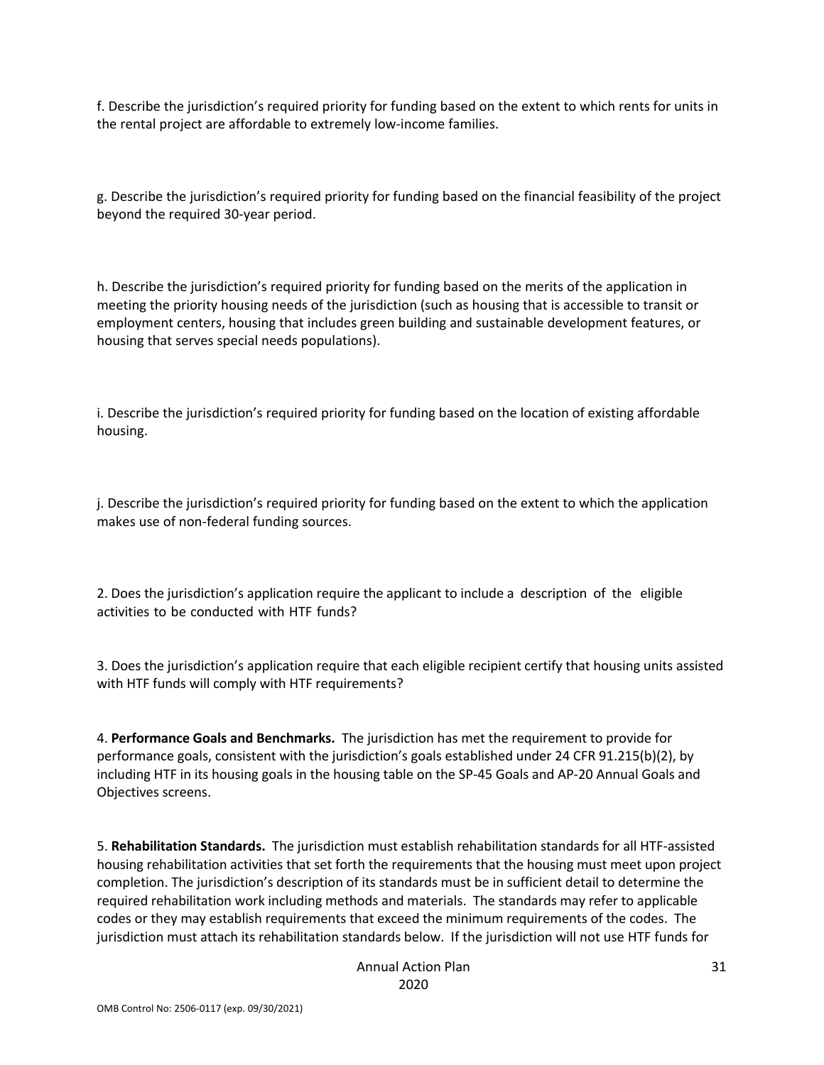f. Describe the jurisdiction's required priority for funding based on the extent to which rents for units in the rental project are affordable to extremely low‐income families.

g. Describe the jurisdiction's required priority for funding based on the financial feasibility of the project beyond the required 30‐year period.

h. Describe the jurisdiction's required priority for funding based on the merits of the application in meeting the priority housing needs of the jurisdiction (such as housing that is accessible to transit or employment centers, housing that includes green building and sustainable development features, or housing that serves special needs populations).

i. Describe the jurisdiction's required priority for funding based on the location of existing affordable housing.

j. Describe the jurisdiction's required priority for funding based on the extent to which the application makes use of non‐federal funding sources.

2. Does the jurisdiction's application require the applicant to include a description of the eligible activities to be conducted with HTF funds?

3. Does the jurisdiction's application require that each eligible recipient certify that housing units assisted with HTF funds will comply with HTF requirements?

4. **Performance Goals and Benchmarks.** The jurisdiction has met the requirement to provide for performance goals, consistent with the jurisdiction's goals established under 24 CFR 91.215(b)(2), by including HTF in its housing goals in the housing table on the SP‐45 Goals and AP‐20 Annual Goals and Objectives screens.

5. **Rehabilitation Standards.** The jurisdiction must establish rehabilitation standards for all HTF‐assisted housing rehabilitation activities that set forth the requirements that the housing must meet upon project completion. The jurisdiction's description of its standards must be in sufficient detail to determine the required rehabilitation work including methods and materials. The standards may refer to applicable codes or they may establish requirements that exceed the minimum requirements of the codes. The jurisdiction must attach its rehabilitation standards below. If the jurisdiction will not use HTF funds for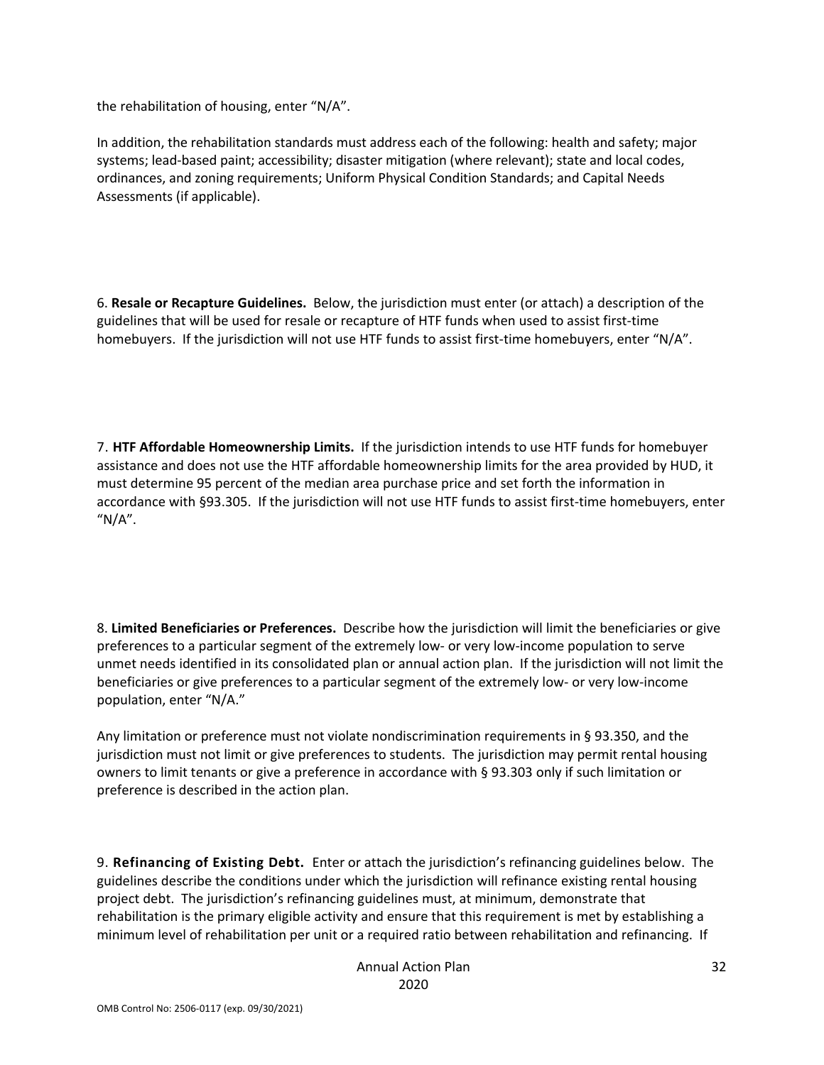the rehabilitation of housing, enter "N/A".

In addition, the rehabilitation standards must address each of the following: health and safety; major systems; lead‐based paint; accessibility; disaster mitigation (where relevant); state and local codes, ordinances, and zoning requirements; Uniform Physical Condition Standards; and Capital Needs Assessments (if applicable).

6. **Resale or Recapture Guidelines.** Below, the jurisdiction must enter (or attach) a description of the guidelines that will be used for resale or recapture of HTF funds when used to assist first‐time homebuyers. If the jurisdiction will not use HTF funds to assist first-time homebuyers, enter "N/A".

7. **HTF Affordable Homeownership Limits.** If the jurisdiction intends to use HTF funds for homebuyer assistance and does not use the HTF affordable homeownership limits for the area provided by HUD, it must determine 95 percent of the median area purchase price and set forth the information in accordance with §93.305. If the jurisdiction will not use HTF funds to assist first-time homebuyers, enter  $M/A''$ .

8. **Limited Beneficiaries or Preferences.** Describe how the jurisdiction will limit the beneficiaries or give preferences to a particular segment of the extremely low‐ or very low‐income population to serve unmet needs identified in its consolidated plan or annual action plan. If the jurisdiction will not limit the beneficiaries or give preferences to a particular segment of the extremely low- or very low-income population, enter "N/A."

Any limitation or preference must not violate nondiscrimination requirements in § 93.350, and the jurisdiction must not limit or give preferences to students. The jurisdiction may permit rental housing owners to limit tenants or give a preference in accordance with § 93.303 only if such limitation or preference is described in the action plan.

9. **Refinancing of Existing Debt.** Enter or attach the jurisdiction's refinancing guidelines below. The guidelines describe the conditions under which the jurisdiction will refinance existing rental housing project debt. The jurisdiction's refinancing guidelines must, at minimum, demonstrate that rehabilitation is the primary eligible activity and ensure that this requirement is met by establishing a minimum level of rehabilitation per unit or a required ratio between rehabilitation and refinancing. If